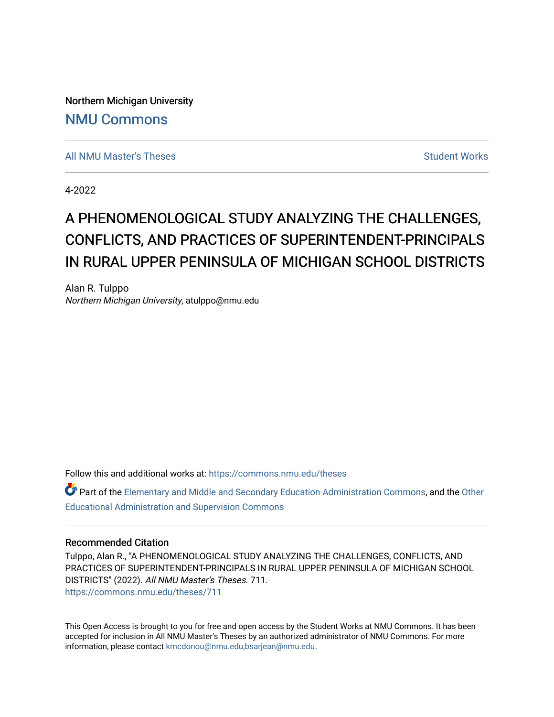Northern Michigan University [NMU Commons](https://commons.nmu.edu/) 

[All NMU Master's Theses](https://commons.nmu.edu/theses) [Student Works](https://commons.nmu.edu/student_works) Student Works Student Works

4-2022

# A PHENOMENOLOGICAL STUDY ANALYZING THE CHALLENGES, CONFLICTS, AND PRACTICES OF SUPERINTENDENT-PRINCIPALS IN RURAL UPPER PENINSULA OF MICHIGAN SCHOOL DISTRICTS

Alan R. Tulppo Northern Michigan University, atulppo@nmu.edu

Follow this and additional works at: [https://commons.nmu.edu/theses](https://commons.nmu.edu/theses?utm_source=commons.nmu.edu%2Ftheses%2F711&utm_medium=PDF&utm_campaign=PDFCoverPages)

Part of the [Elementary and Middle and Secondary Education Administration Commons](http://network.bepress.com/hgg/discipline/790?utm_source=commons.nmu.edu%2Ftheses%2F711&utm_medium=PDF&utm_campaign=PDFCoverPages), and the Other [Educational Administration and Supervision Commons](http://network.bepress.com/hgg/discipline/794?utm_source=commons.nmu.edu%2Ftheses%2F711&utm_medium=PDF&utm_campaign=PDFCoverPages) 

#### Recommended Citation

Tulppo, Alan R., "A PHENOMENOLOGICAL STUDY ANALYZING THE CHALLENGES, CONFLICTS, AND PRACTICES OF SUPERINTENDENT-PRINCIPALS IN RURAL UPPER PENINSULA OF MICHIGAN SCHOOL DISTRICTS" (2022). All NMU Master's Theses. 711. [https://commons.nmu.edu/theses/711](https://commons.nmu.edu/theses/711?utm_source=commons.nmu.edu%2Ftheses%2F711&utm_medium=PDF&utm_campaign=PDFCoverPages) 

This Open Access is brought to you for free and open access by the Student Works at NMU Commons. It has been accepted for inclusion in All NMU Master's Theses by an authorized administrator of NMU Commons. For more information, please contact [kmcdonou@nmu.edu,bsarjean@nmu.edu](mailto:kmcdonou@nmu.edu,bsarjean@nmu.edu).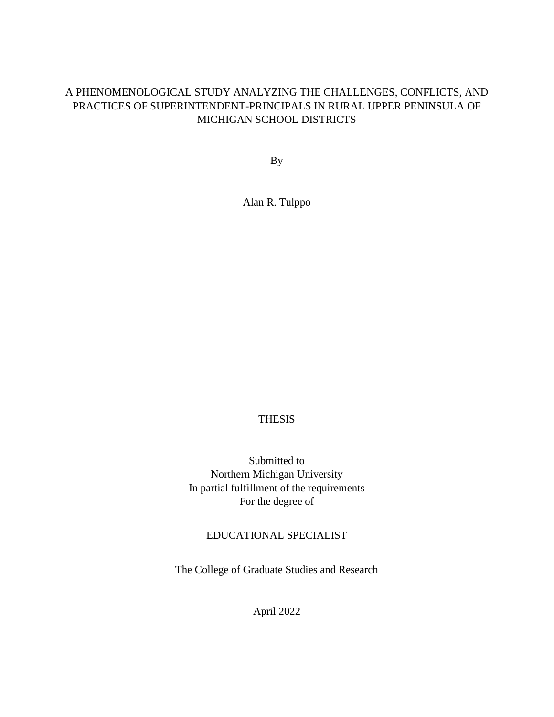# A PHENOMENOLOGICAL STUDY ANALYZING THE CHALLENGES, CONFLICTS, AND PRACTICES OF SUPERINTENDENT-PRINCIPALS IN RURAL UPPER PENINSULA OF MICHIGAN SCHOOL DISTRICTS

By

Alan R. Tulppo

# THESIS

Submitted to Northern Michigan University In partial fulfillment of the requirements For the degree of

### EDUCATIONAL SPECIALIST

The College of Graduate Studies and Research

April 2022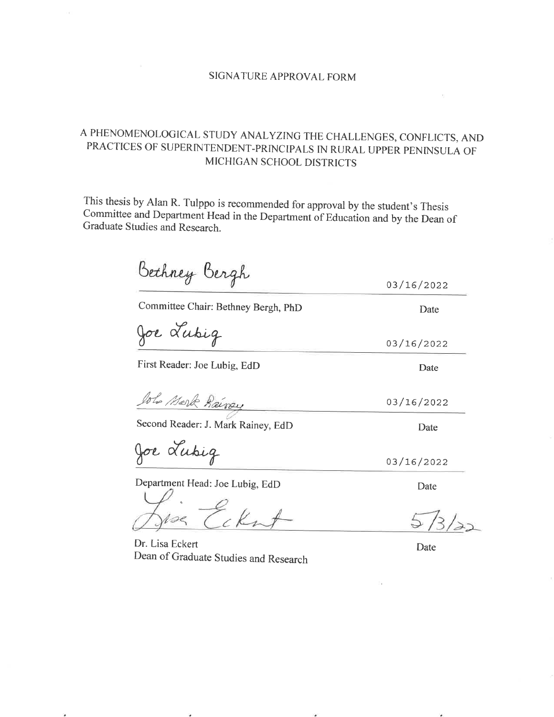### SIGNATURE APPROVAL FORM

# A PHENOMENOLOGICAL STUDY ANALYZING THE CHALLENGES, CONFLICTS, AND PRACTICES OF SUPERINTENDENT-PRINCIPALS IN RURAL UPPER PENINSULA OF MICHIGAN SCHOOL DISTRICTS

This thesis by Alan R. Tulppo is recommended for approval by the student's Thesis Committee and Department Head in the Department of Education and by the Dean of Graduate Studies and Research.

Bethney Bergh 03/16/2022 Committee Chair: Bethney Bergh, PhD Date Joe Lubig 03/16/2022 First Reader: Joe Lubig, EdD Date John Mark Rainey 03/16/2022 Second Reader: J. Mark Rainey, EdD Date Joe Lubig 03/16/2022

Department Head: Joe Lubig, EdD

Dr. Lisa Eckert Dean of Graduate Studies and Research

Date

Date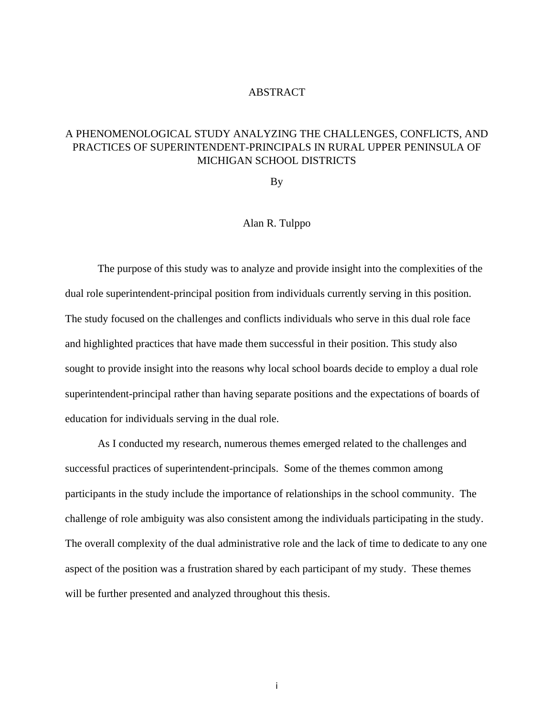#### ABSTRACT

# A PHENOMENOLOGICAL STUDY ANALYZING THE CHALLENGES, CONFLICTS, AND PRACTICES OF SUPERINTENDENT-PRINCIPALS IN RURAL UPPER PENINSULA OF MICHIGAN SCHOOL DISTRICTS

By

### Alan R. Tulppo

The purpose of this study was to analyze and provide insight into the complexities of the dual role superintendent-principal position from individuals currently serving in this position. The study focused on the challenges and conflicts individuals who serve in this dual role face and highlighted practices that have made them successful in their position. This study also sought to provide insight into the reasons why local school boards decide to employ a dual role superintendent-principal rather than having separate positions and the expectations of boards of education for individuals serving in the dual role.

As I conducted my research, numerous themes emerged related to the challenges and successful practices of superintendent-principals. Some of the themes common among participants in the study include the importance of relationships in the school community. The challenge of role ambiguity was also consistent among the individuals participating in the study. The overall complexity of the dual administrative role and the lack of time to dedicate to any one aspect of the position was a frustration shared by each participant of my study. These themes will be further presented and analyzed throughout this thesis.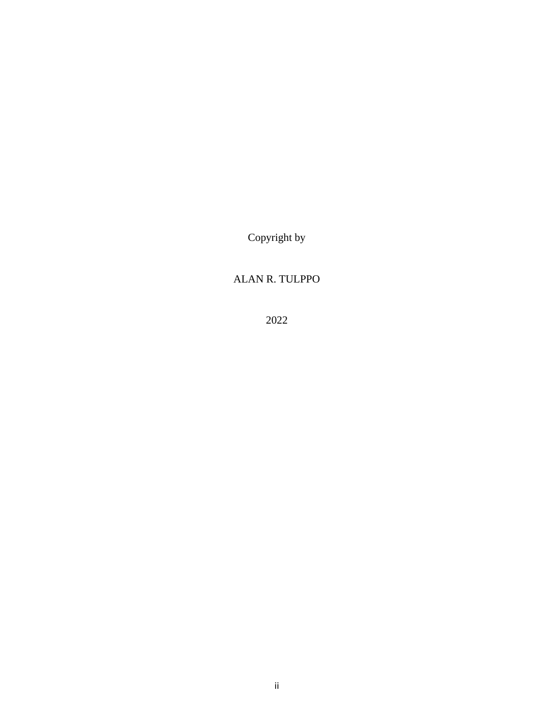Copyright by

# ALAN R. TULPPO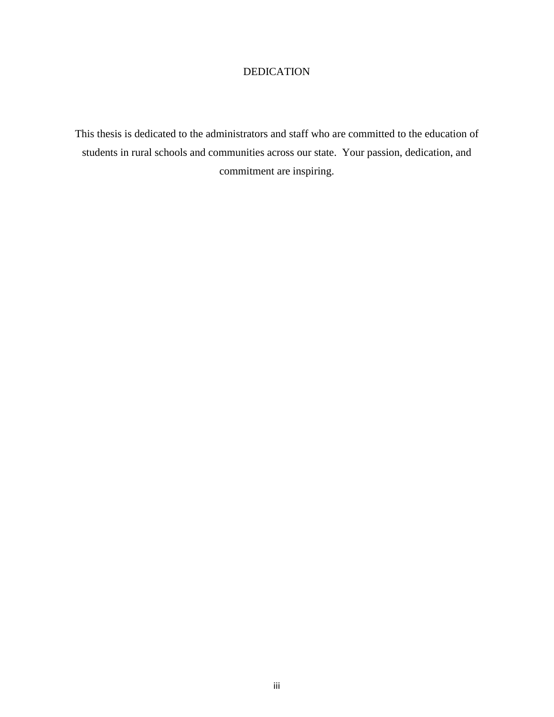# DEDICATION

This thesis is dedicated to the administrators and staff who are committed to the education of students in rural schools and communities across our state. Your passion, dedication, and commitment are inspiring.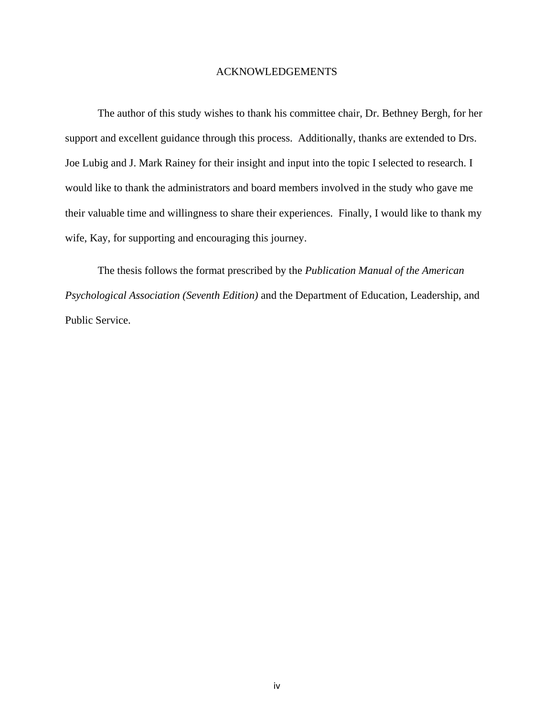#### ACKNOWLEDGEMENTS

The author of this study wishes to thank his committee chair, Dr. Bethney Bergh, for her support and excellent guidance through this process. Additionally, thanks are extended to Drs. Joe Lubig and J. Mark Rainey for their insight and input into the topic I selected to research. I would like to thank the administrators and board members involved in the study who gave me their valuable time and willingness to share their experiences. Finally, I would like to thank my wife, Kay, for supporting and encouraging this journey.

The thesis follows the format prescribed by the *Publication Manual of the American Psychological Association (Seventh Edition)* and the Department of Education, Leadership, and Public Service.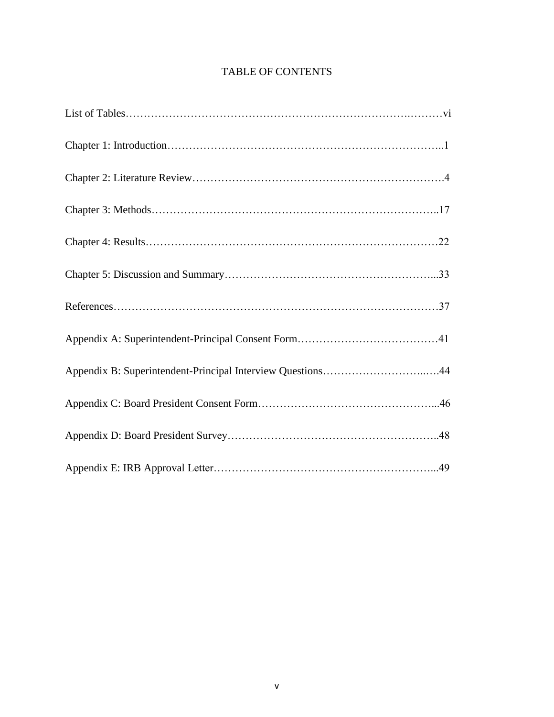# TABLE OF CONTENTS

| Appendix B: Superintendent-Principal Interview Questions44 |
|------------------------------------------------------------|
|                                                            |
|                                                            |
|                                                            |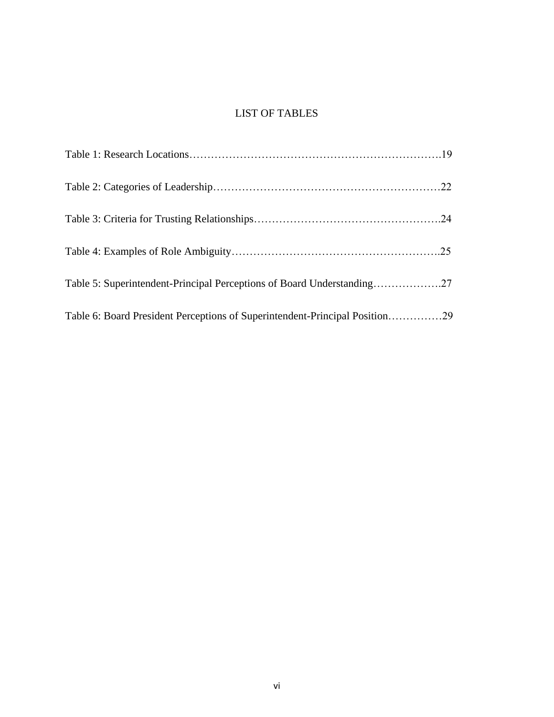# LIST OF TABLES

| Table 5: Superintendent-Principal Perceptions of Board Understanding27      |  |
|-----------------------------------------------------------------------------|--|
| Table 6: Board President Perceptions of Superintendent-Principal Position29 |  |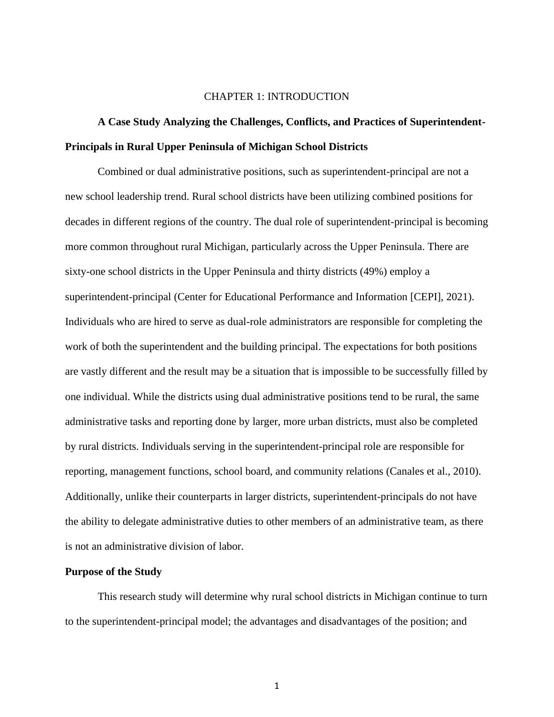#### CHAPTER 1: INTRODUCTION

# **A Case Study Analyzing the Challenges, Conflicts, and Practices of Superintendent-Principals in Rural Upper Peninsula of Michigan School Districts**

Combined or dual administrative positions, such as superintendent-principal are not a new school leadership trend. Rural school districts have been utilizing combined positions for decades in different regions of the country. The dual role of superintendent-principal is becoming more common throughout rural Michigan, particularly across the Upper Peninsula. There are sixty-one school districts in the Upper Peninsula and thirty districts (49%) employ a superintendent-principal (Center for Educational Performance and Information [CEPI], 2021). Individuals who are hired to serve as dual-role administrators are responsible for completing the work of both the superintendent and the building principal. The expectations for both positions are vastly different and the result may be a situation that is impossible to be successfully filled by one individual. While the districts using dual administrative positions tend to be rural, the same administrative tasks and reporting done by larger, more urban districts, must also be completed by rural districts. Individuals serving in the superintendent-principal role are responsible for reporting, management functions, school board, and community relations (Canales et al., 2010). Additionally, unlike their counterparts in larger districts, superintendent-principals do not have the ability to delegate administrative duties to other members of an administrative team, as there is not an administrative division of labor.

#### **Purpose of the Study**

This research study will determine why rural school districts in Michigan continue to turn to the superintendent-principal model; the advantages and disadvantages of the position; and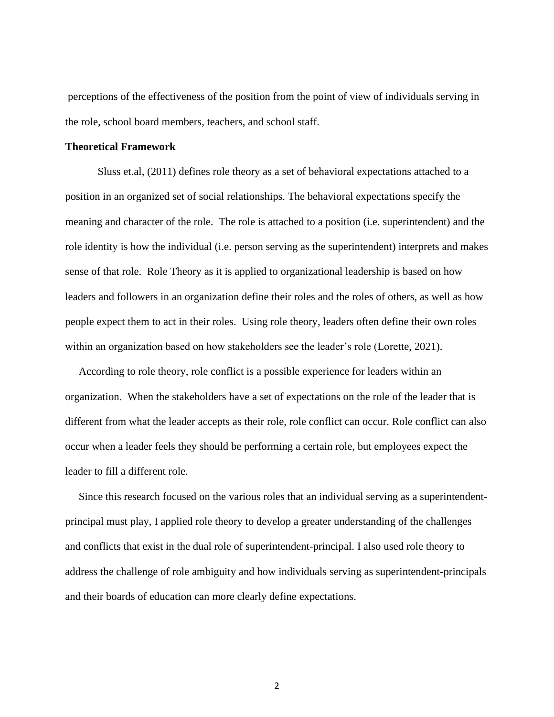perceptions of the effectiveness of the position from the point of view of individuals serving in the role, school board members, teachers, and school staff.

#### **Theoretical Framework**

Sluss et.al, (2011) defines role theory as a set of behavioral expectations attached to a position in an organized set of social relationships. The behavioral expectations specify the meaning and character of the role. The role is attached to a position (i.e. superintendent) and the role identity is how the individual (i.e. person serving as the superintendent) interprets and makes sense of that role. Role Theory as it is applied to organizational leadership is based on how leaders and followers in an organization define their roles and the roles of others, as well as how people expect them to act in their roles. Using role theory, leaders often define their own roles within an organization based on how stakeholders see the leader's role (Lorette, 2021).

 According to role theory, role conflict is a possible experience for leaders within an organization. When the stakeholders have a set of expectations on the role of the leader that is different from what the leader accepts as their role, role conflict can occur. Role conflict can also occur when a leader feels they should be performing a certain role, but employees expect the leader to fill a different role.

 Since this research focused on the various roles that an individual serving as a superintendentprincipal must play, I applied role theory to develop a greater understanding of the challenges and conflicts that exist in the dual role of superintendent-principal. I also used role theory to address the challenge of role ambiguity and how individuals serving as superintendent-principals and their boards of education can more clearly define expectations.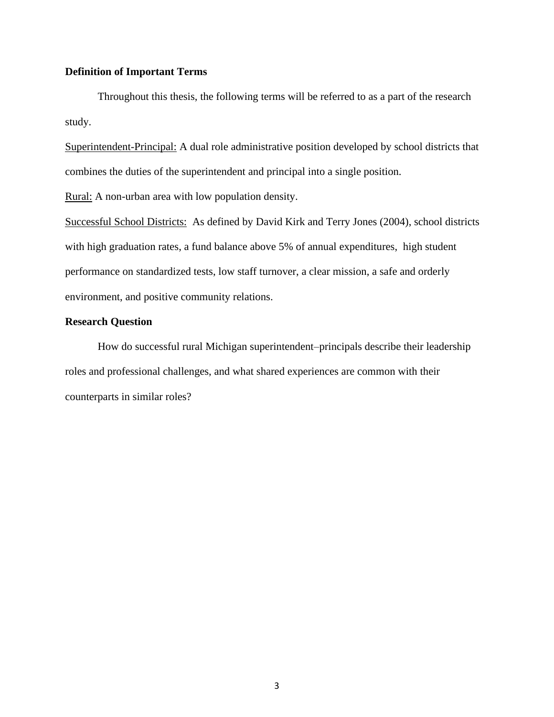#### **Definition of Important Terms**

Throughout this thesis, the following terms will be referred to as a part of the research study.

Superintendent-Principal: A dual role administrative position developed by school districts that combines the duties of the superintendent and principal into a single position.

Rural: A non-urban area with low population density.

Successful School Districts: As defined by David Kirk and Terry Jones (2004), school districts with high graduation rates, a fund balance above 5% of annual expenditures, high student performance on standardized tests, low staff turnover, a clear mission, a safe and orderly environment, and positive community relations.

#### **Research Question**

How do successful rural Michigan superintendent–principals describe their leadership roles and professional challenges, and what shared experiences are common with their counterparts in similar roles?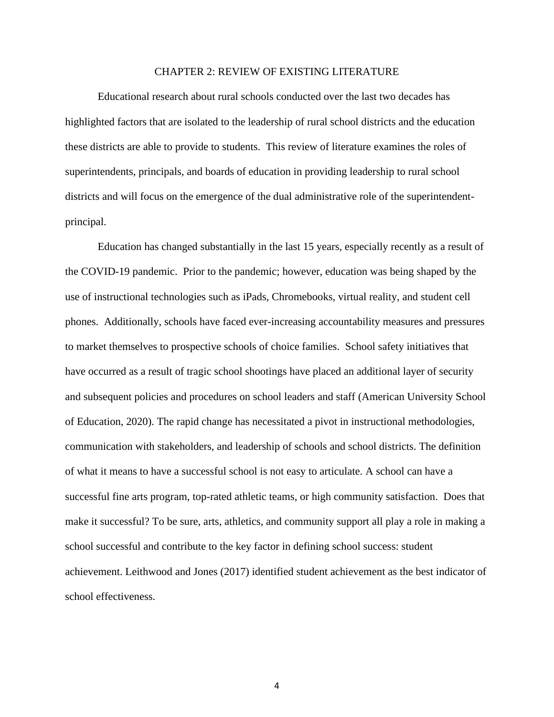#### CHAPTER 2: REVIEW OF EXISTING LITERATURE

Educational research about rural schools conducted over the last two decades has highlighted factors that are isolated to the leadership of rural school districts and the education these districts are able to provide to students. This review of literature examines the roles of superintendents, principals, and boards of education in providing leadership to rural school districts and will focus on the emergence of the dual administrative role of the superintendentprincipal.

Education has changed substantially in the last 15 years, especially recently as a result of the COVID-19 pandemic. Prior to the pandemic; however, education was being shaped by the use of instructional technologies such as iPads, Chromebooks, virtual reality, and student cell phones. Additionally, schools have faced ever-increasing accountability measures and pressures to market themselves to prospective schools of choice families. School safety initiatives that have occurred as a result of tragic school shootings have placed an additional layer of security and subsequent policies and procedures on school leaders and staff (American University School of Education, 2020). The rapid change has necessitated a pivot in instructional methodologies, communication with stakeholders, and leadership of schools and school districts. The definition of what it means to have a successful school is not easy to articulate. A school can have a successful fine arts program, top-rated athletic teams, or high community satisfaction. Does that make it successful? To be sure, arts, athletics, and community support all play a role in making a school successful and contribute to the key factor in defining school success: student achievement. Leithwood and Jones (2017) identified student achievement as the best indicator of school effectiveness.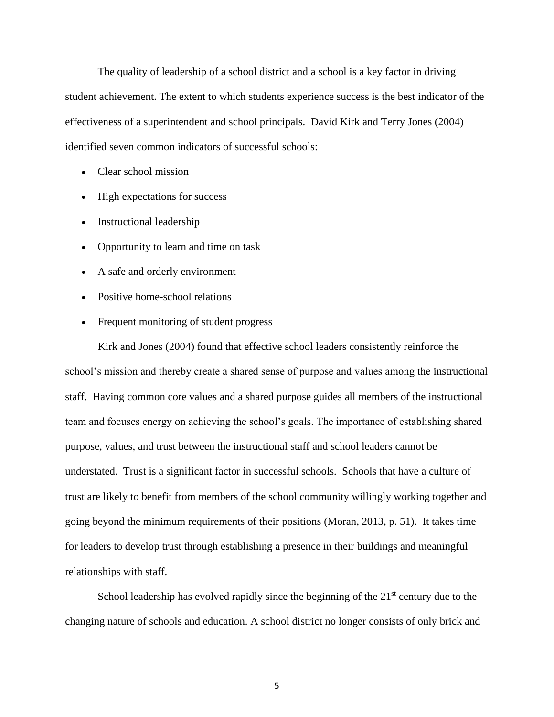The quality of leadership of a school district and a school is a key factor in driving student achievement. The extent to which students experience success is the best indicator of the effectiveness of a superintendent and school principals. David Kirk and Terry Jones (2004) identified seven common indicators of successful schools:

- Clear school mission
- High expectations for success
- Instructional leadership
- Opportunity to learn and time on task
- A safe and orderly environment
- Positive home-school relations
- Frequent monitoring of student progress

Kirk and Jones (2004) found that effective school leaders consistently reinforce the school's mission and thereby create a shared sense of purpose and values among the instructional staff. Having common core values and a shared purpose guides all members of the instructional team and focuses energy on achieving the school's goals. The importance of establishing shared purpose, values, and trust between the instructional staff and school leaders cannot be understated. Trust is a significant factor in successful schools. Schools that have a culture of trust are likely to benefit from members of the school community willingly working together and going beyond the minimum requirements of their positions (Moran, 2013, p. 51). It takes time for leaders to develop trust through establishing a presence in their buildings and meaningful relationships with staff.

School leadership has evolved rapidly since the beginning of the  $21<sup>st</sup>$  century due to the changing nature of schools and education. A school district no longer consists of only brick and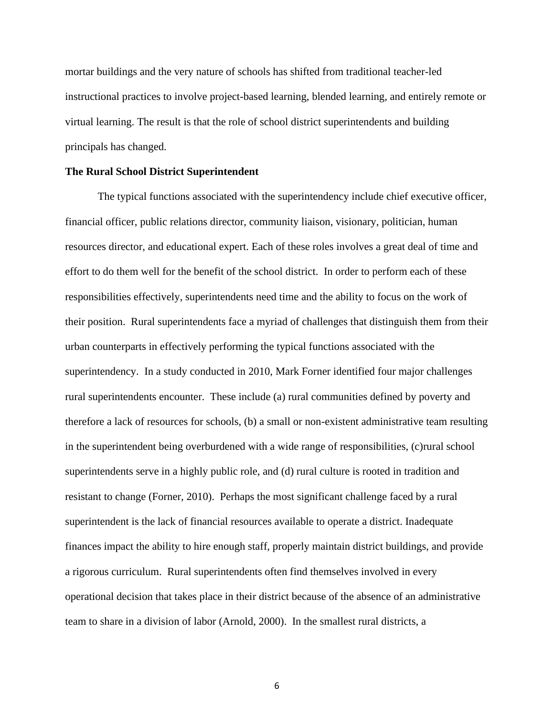mortar buildings and the very nature of schools has shifted from traditional teacher-led instructional practices to involve project-based learning, blended learning, and entirely remote or virtual learning. The result is that the role of school district superintendents and building principals has changed.

#### **The Rural School District Superintendent**

The typical functions associated with the superintendency include chief executive officer, financial officer, public relations director, community liaison, visionary, politician, human resources director, and educational expert. Each of these roles involves a great deal of time and effort to do them well for the benefit of the school district. In order to perform each of these responsibilities effectively, superintendents need time and the ability to focus on the work of their position. Rural superintendents face a myriad of challenges that distinguish them from their urban counterparts in effectively performing the typical functions associated with the superintendency. In a study conducted in 2010, Mark Forner identified four major challenges rural superintendents encounter. These include (a) rural communities defined by poverty and therefore a lack of resources for schools, (b) a small or non-existent administrative team resulting in the superintendent being overburdened with a wide range of responsibilities, (c)rural school superintendents serve in a highly public role, and (d) rural culture is rooted in tradition and resistant to change (Forner, 2010). Perhaps the most significant challenge faced by a rural superintendent is the lack of financial resources available to operate a district. Inadequate finances impact the ability to hire enough staff, properly maintain district buildings, and provide a rigorous curriculum. Rural superintendents often find themselves involved in every operational decision that takes place in their district because of the absence of an administrative team to share in a division of labor (Arnold, 2000). In the smallest rural districts, a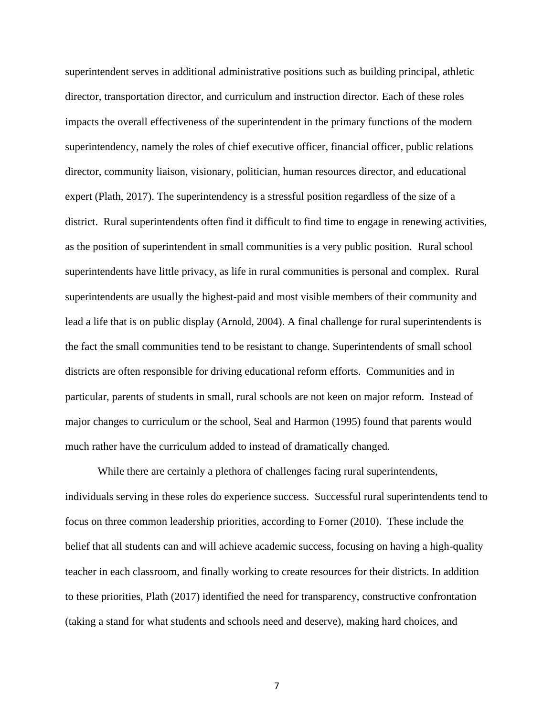superintendent serves in additional administrative positions such as building principal, athletic director, transportation director, and curriculum and instruction director. Each of these roles impacts the overall effectiveness of the superintendent in the primary functions of the modern superintendency, namely the roles of chief executive officer, financial officer, public relations director, community liaison, visionary, politician, human resources director, and educational expert (Plath, 2017). The superintendency is a stressful position regardless of the size of a district. Rural superintendents often find it difficult to find time to engage in renewing activities, as the position of superintendent in small communities is a very public position. Rural school superintendents have little privacy, as life in rural communities is personal and complex. Rural superintendents are usually the highest-paid and most visible members of their community and lead a life that is on public display (Arnold, 2004). A final challenge for rural superintendents is the fact the small communities tend to be resistant to change. Superintendents of small school districts are often responsible for driving educational reform efforts. Communities and in particular, parents of students in small, rural schools are not keen on major reform. Instead of major changes to curriculum or the school, Seal and Harmon (1995) found that parents would much rather have the curriculum added to instead of dramatically changed.

While there are certainly a plethora of challenges facing rural superintendents, individuals serving in these roles do experience success. Successful rural superintendents tend to focus on three common leadership priorities, according to Forner (2010). These include the belief that all students can and will achieve academic success, focusing on having a high-quality teacher in each classroom, and finally working to create resources for their districts. In addition to these priorities, Plath (2017) identified the need for transparency, constructive confrontation (taking a stand for what students and schools need and deserve), making hard choices, and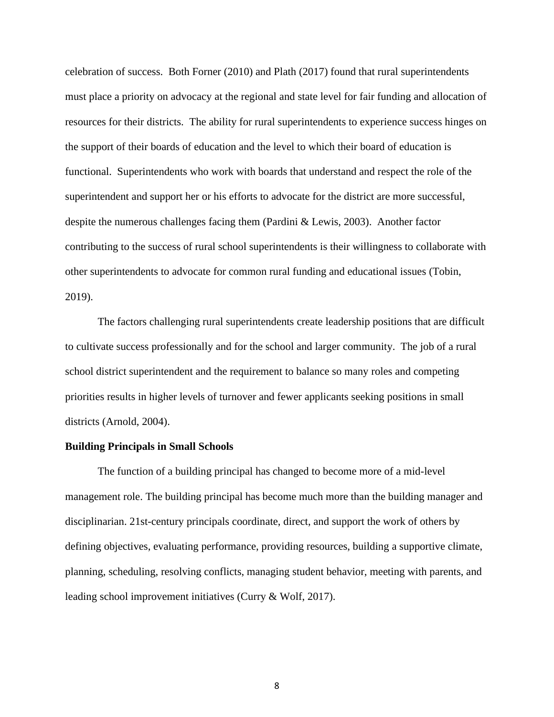celebration of success. Both Forner (2010) and Plath (2017) found that rural superintendents must place a priority on advocacy at the regional and state level for fair funding and allocation of resources for their districts. The ability for rural superintendents to experience success hinges on the support of their boards of education and the level to which their board of education is functional. Superintendents who work with boards that understand and respect the role of the superintendent and support her or his efforts to advocate for the district are more successful, despite the numerous challenges facing them (Pardini & Lewis, 2003). Another factor contributing to the success of rural school superintendents is their willingness to collaborate with other superintendents to advocate for common rural funding and educational issues (Tobin, 2019).

The factors challenging rural superintendents create leadership positions that are difficult to cultivate success professionally and for the school and larger community. The job of a rural school district superintendent and the requirement to balance so many roles and competing priorities results in higher levels of turnover and fewer applicants seeking positions in small districts (Arnold, 2004).

#### **Building Principals in Small Schools**

The function of a building principal has changed to become more of a mid-level management role. The building principal has become much more than the building manager and disciplinarian. 21st-century principals coordinate, direct, and support the work of others by defining objectives, evaluating performance, providing resources, building a supportive climate, planning, scheduling, resolving conflicts, managing student behavior, meeting with parents, and leading school improvement initiatives (Curry & Wolf, 2017).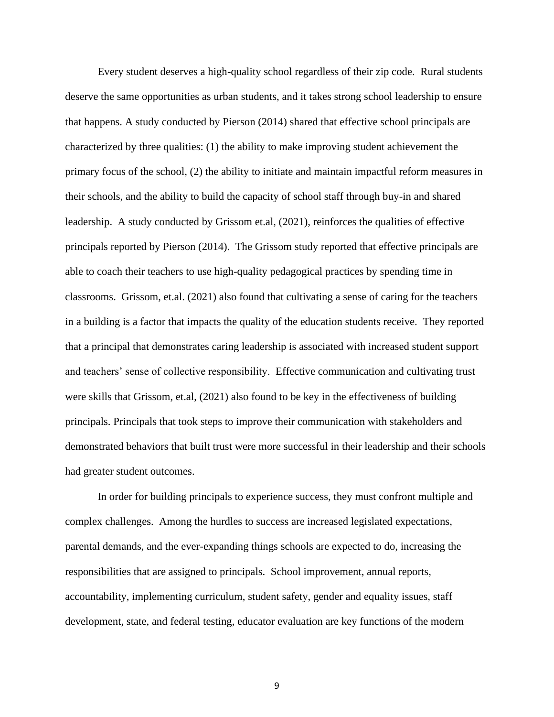Every student deserves a high-quality school regardless of their zip code. Rural students deserve the same opportunities as urban students, and it takes strong school leadership to ensure that happens. A study conducted by Pierson (2014) shared that effective school principals are characterized by three qualities: (1) the ability to make improving student achievement the primary focus of the school, (2) the ability to initiate and maintain impactful reform measures in their schools, and the ability to build the capacity of school staff through buy-in and shared leadership. A study conducted by Grissom et.al, (2021), reinforces the qualities of effective principals reported by Pierson (2014). The Grissom study reported that effective principals are able to coach their teachers to use high-quality pedagogical practices by spending time in classrooms. Grissom, et.al. (2021) also found that cultivating a sense of caring for the teachers in a building is a factor that impacts the quality of the education students receive. They reported that a principal that demonstrates caring leadership is associated with increased student support and teachers' sense of collective responsibility. Effective communication and cultivating trust were skills that Grissom, et.al, (2021) also found to be key in the effectiveness of building principals. Principals that took steps to improve their communication with stakeholders and demonstrated behaviors that built trust were more successful in their leadership and their schools had greater student outcomes.

In order for building principals to experience success, they must confront multiple and complex challenges. Among the hurdles to success are increased legislated expectations, parental demands, and the ever-expanding things schools are expected to do, increasing the responsibilities that are assigned to principals. School improvement, annual reports, accountability, implementing curriculum, student safety, gender and equality issues, staff development, state, and federal testing, educator evaluation are key functions of the modern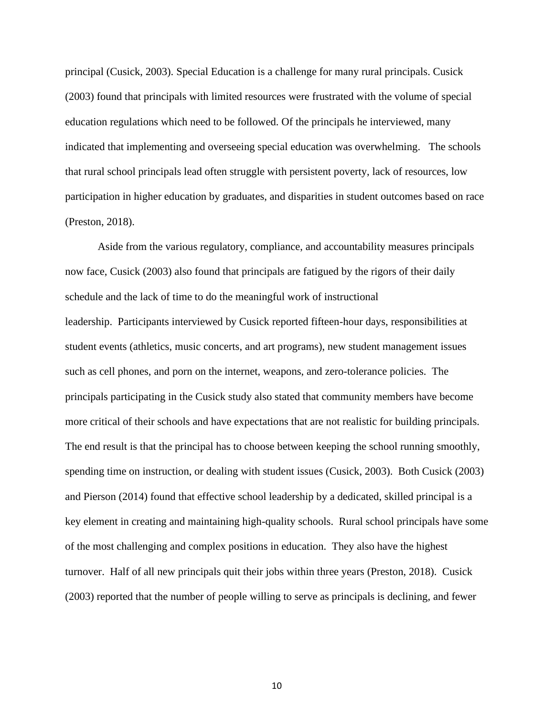principal (Cusick, 2003). Special Education is a challenge for many rural principals. Cusick (2003) found that principals with limited resources were frustrated with the volume of special education regulations which need to be followed. Of the principals he interviewed, many indicated that implementing and overseeing special education was overwhelming. The schools that rural school principals lead often struggle with persistent poverty, lack of resources, low participation in higher education by graduates, and disparities in student outcomes based on race (Preston, 2018).

Aside from the various regulatory, compliance, and accountability measures principals now face, Cusick (2003) also found that principals are fatigued by the rigors of their daily schedule and the lack of time to do the meaningful work of instructional leadership. Participants interviewed by Cusick reported fifteen-hour days, responsibilities at student events (athletics, music concerts, and art programs), new student management issues such as cell phones, and porn on the internet, weapons, and zero-tolerance policies. The principals participating in the Cusick study also stated that community members have become more critical of their schools and have expectations that are not realistic for building principals. The end result is that the principal has to choose between keeping the school running smoothly, spending time on instruction, or dealing with student issues (Cusick, 2003). Both Cusick (2003) and Pierson (2014) found that effective school leadership by a dedicated, skilled principal is a key element in creating and maintaining high-quality schools. Rural school principals have some of the most challenging and complex positions in education. They also have the highest turnover. Half of all new principals quit their jobs within three years (Preston, 2018). Cusick (2003) reported that the number of people willing to serve as principals is declining, and fewer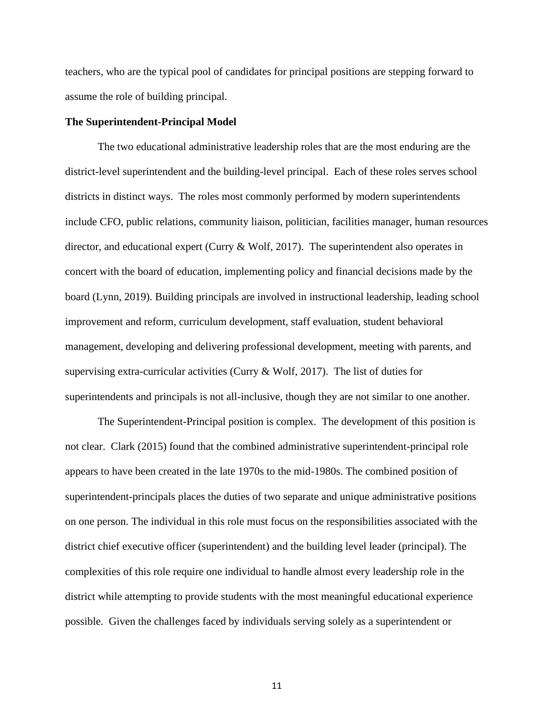teachers, who are the typical pool of candidates for principal positions are stepping forward to assume the role of building principal.

#### **The Superintendent-Principal Model**

The two educational administrative leadership roles that are the most enduring are the district-level superintendent and the building-level principal. Each of these roles serves school districts in distinct ways. The roles most commonly performed by modern superintendents include CFO, public relations, community liaison, politician, facilities manager, human resources director, and educational expert (Curry & Wolf, 2017). The superintendent also operates in concert with the board of education, implementing policy and financial decisions made by the board (Lynn, 2019). Building principals are involved in instructional leadership, leading school improvement and reform, curriculum development, staff evaluation, student behavioral management, developing and delivering professional development, meeting with parents, and supervising extra-curricular activities (Curry  $& Wolf, 2017$ ). The list of duties for superintendents and principals is not all-inclusive, though they are not similar to one another.

The Superintendent-Principal position is complex. The development of this position is not clear. Clark (2015) found that the combined administrative superintendent-principal role appears to have been created in the late 1970s to the mid-1980s. The combined position of superintendent-principals places the duties of two separate and unique administrative positions on one person. The individual in this role must focus on the responsibilities associated with the district chief executive officer (superintendent) and the building level leader (principal). The complexities of this role require one individual to handle almost every leadership role in the district while attempting to provide students with the most meaningful educational experience possible. Given the challenges faced by individuals serving solely as a superintendent or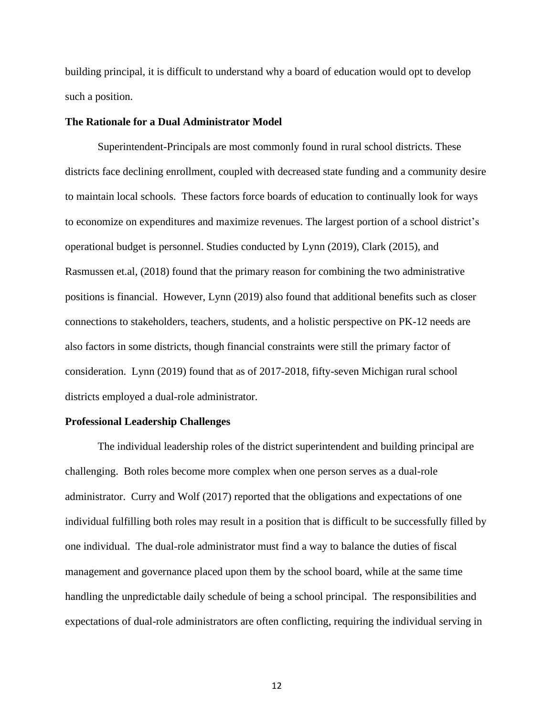building principal, it is difficult to understand why a board of education would opt to develop such a position.

#### **The Rationale for a Dual Administrator Model**

Superintendent-Principals are most commonly found in rural school districts. These districts face declining enrollment, coupled with decreased state funding and a community desire to maintain local schools. These factors force boards of education to continually look for ways to economize on expenditures and maximize revenues. The largest portion of a school district's operational budget is personnel. Studies conducted by Lynn (2019), Clark (2015), and Rasmussen et.al, (2018) found that the primary reason for combining the two administrative positions is financial. However, Lynn (2019) also found that additional benefits such as closer connections to stakeholders, teachers, students, and a holistic perspective on PK-12 needs are also factors in some districts, though financial constraints were still the primary factor of consideration. Lynn (2019) found that as of 2017-2018, fifty-seven Michigan rural school districts employed a dual-role administrator.

#### **Professional Leadership Challenges**

The individual leadership roles of the district superintendent and building principal are challenging. Both roles become more complex when one person serves as a dual-role administrator. Curry and Wolf (2017) reported that the obligations and expectations of one individual fulfilling both roles may result in a position that is difficult to be successfully filled by one individual. The dual-role administrator must find a way to balance the duties of fiscal management and governance placed upon them by the school board, while at the same time handling the unpredictable daily schedule of being a school principal. The responsibilities and expectations of dual-role administrators are often conflicting, requiring the individual serving in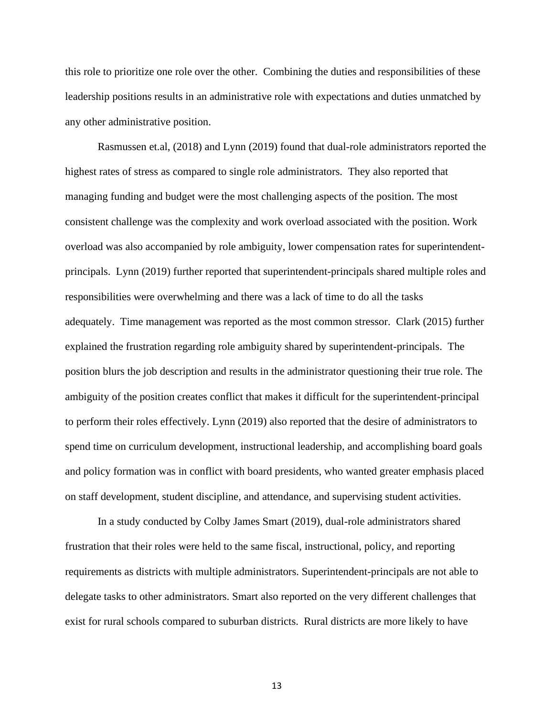this role to prioritize one role over the other. Combining the duties and responsibilities of these leadership positions results in an administrative role with expectations and duties unmatched by any other administrative position.

Rasmussen et.al, (2018) and Lynn (2019) found that dual-role administrators reported the highest rates of stress as compared to single role administrators. They also reported that managing funding and budget were the most challenging aspects of the position. The most consistent challenge was the complexity and work overload associated with the position. Work overload was also accompanied by role ambiguity, lower compensation rates for superintendentprincipals. Lynn (2019) further reported that superintendent-principals shared multiple roles and responsibilities were overwhelming and there was a lack of time to do all the tasks adequately. Time management was reported as the most common stressor. Clark (2015) further explained the frustration regarding role ambiguity shared by superintendent-principals. The position blurs the job description and results in the administrator questioning their true role. The ambiguity of the position creates conflict that makes it difficult for the superintendent-principal to perform their roles effectively. Lynn (2019) also reported that the desire of administrators to spend time on curriculum development, instructional leadership, and accomplishing board goals and policy formation was in conflict with board presidents, who wanted greater emphasis placed on staff development, student discipline, and attendance, and supervising student activities.

In a study conducted by Colby James Smart (2019), dual-role administrators shared frustration that their roles were held to the same fiscal, instructional, policy, and reporting requirements as districts with multiple administrators. Superintendent-principals are not able to delegate tasks to other administrators. Smart also reported on the very different challenges that exist for rural schools compared to suburban districts. Rural districts are more likely to have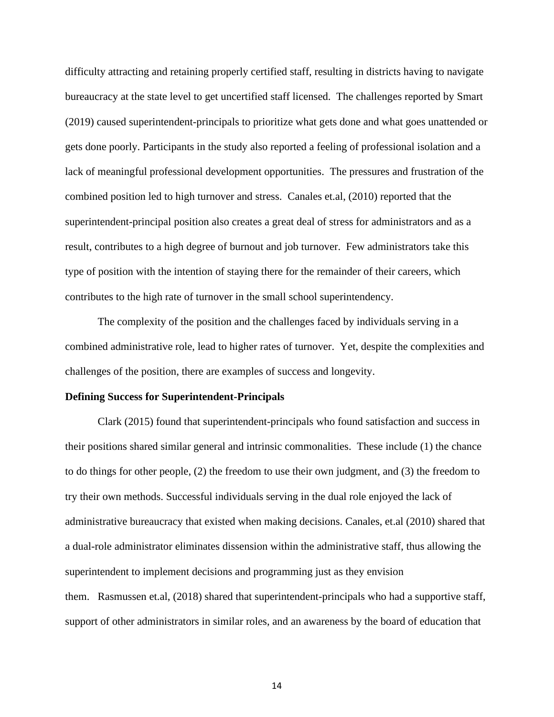difficulty attracting and retaining properly certified staff, resulting in districts having to navigate bureaucracy at the state level to get uncertified staff licensed. The challenges reported by Smart (2019) caused superintendent-principals to prioritize what gets done and what goes unattended or gets done poorly. Participants in the study also reported a feeling of professional isolation and a lack of meaningful professional development opportunities. The pressures and frustration of the combined position led to high turnover and stress. Canales et.al, (2010) reported that the superintendent-principal position also creates a great deal of stress for administrators and as a result, contributes to a high degree of burnout and job turnover. Few administrators take this type of position with the intention of staying there for the remainder of their careers, which contributes to the high rate of turnover in the small school superintendency.

The complexity of the position and the challenges faced by individuals serving in a combined administrative role, lead to higher rates of turnover. Yet, despite the complexities and challenges of the position, there are examples of success and longevity.

#### **Defining Success for Superintendent-Principals**

Clark (2015) found that superintendent-principals who found satisfaction and success in their positions shared similar general and intrinsic commonalities. These include (1) the chance to do things for other people, (2) the freedom to use their own judgment, and (3) the freedom to try their own methods. Successful individuals serving in the dual role enjoyed the lack of administrative bureaucracy that existed when making decisions. Canales, et.al (2010) shared that a dual-role administrator eliminates dissension within the administrative staff, thus allowing the superintendent to implement decisions and programming just as they envision them. Rasmussen et.al, (2018) shared that superintendent-principals who had a supportive staff, support of other administrators in similar roles, and an awareness by the board of education that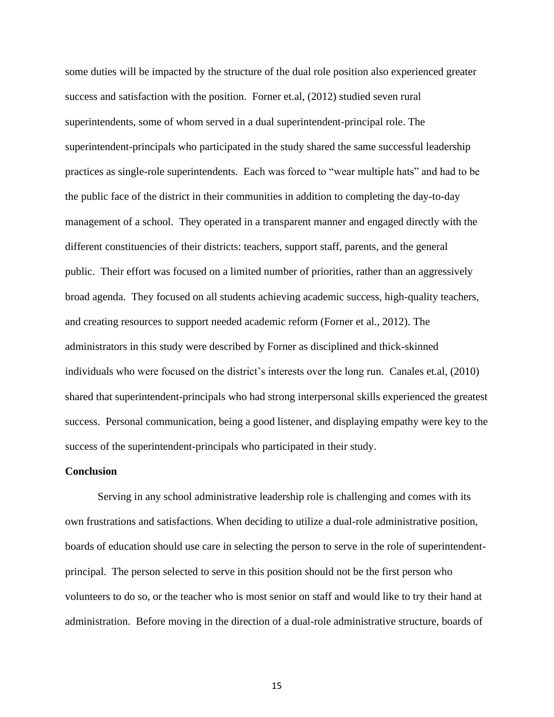some duties will be impacted by the structure of the dual role position also experienced greater success and satisfaction with the position. Forner et.al, (2012) studied seven rural superintendents, some of whom served in a dual superintendent-principal role. The superintendent-principals who participated in the study shared the same successful leadership practices as single-role superintendents. Each was forced to "wear multiple hats" and had to be the public face of the district in their communities in addition to completing the day-to-day management of a school. They operated in a transparent manner and engaged directly with the different constituencies of their districts: teachers, support staff, parents, and the general public. Their effort was focused on a limited number of priorities, rather than an aggressively broad agenda. They focused on all students achieving academic success, high-quality teachers, and creating resources to support needed academic reform (Forner et al., 2012). The administrators in this study were described by Forner as disciplined and thick-skinned individuals who were focused on the district's interests over the long run. Canales et.al, (2010) shared that superintendent-principals who had strong interpersonal skills experienced the greatest success. Personal communication, being a good listener, and displaying empathy were key to the success of the superintendent-principals who participated in their study.

#### **Conclusion**

Serving in any school administrative leadership role is challenging and comes with its own frustrations and satisfactions. When deciding to utilize a dual-role administrative position, boards of education should use care in selecting the person to serve in the role of superintendentprincipal. The person selected to serve in this position should not be the first person who volunteers to do so, or the teacher who is most senior on staff and would like to try their hand at administration. Before moving in the direction of a dual-role administrative structure, boards of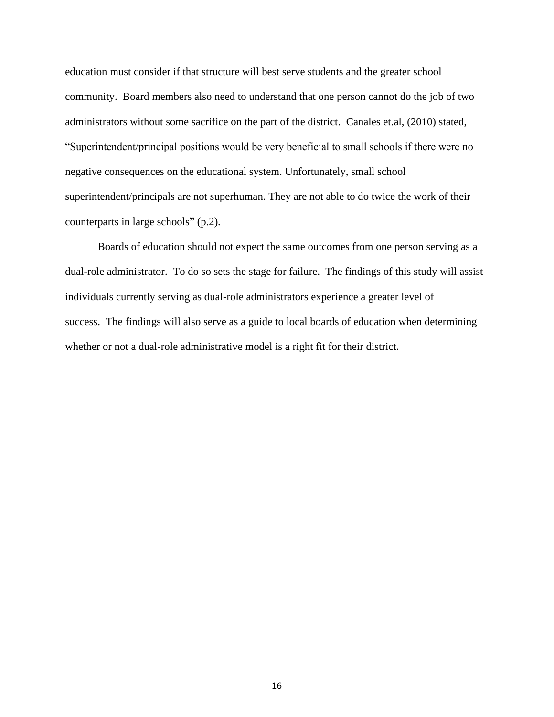education must consider if that structure will best serve students and the greater school community. Board members also need to understand that one person cannot do the job of two administrators without some sacrifice on the part of the district. Canales et.al, (2010) stated, "Superintendent/principal positions would be very beneficial to small schools if there were no negative consequences on the educational system. Unfortunately, small school superintendent/principals are not superhuman. They are not able to do twice the work of their counterparts in large schools" (p.2).

Boards of education should not expect the same outcomes from one person serving as a dual-role administrator. To do so sets the stage for failure. The findings of this study will assist individuals currently serving as dual-role administrators experience a greater level of success. The findings will also serve as a guide to local boards of education when determining whether or not a dual-role administrative model is a right fit for their district.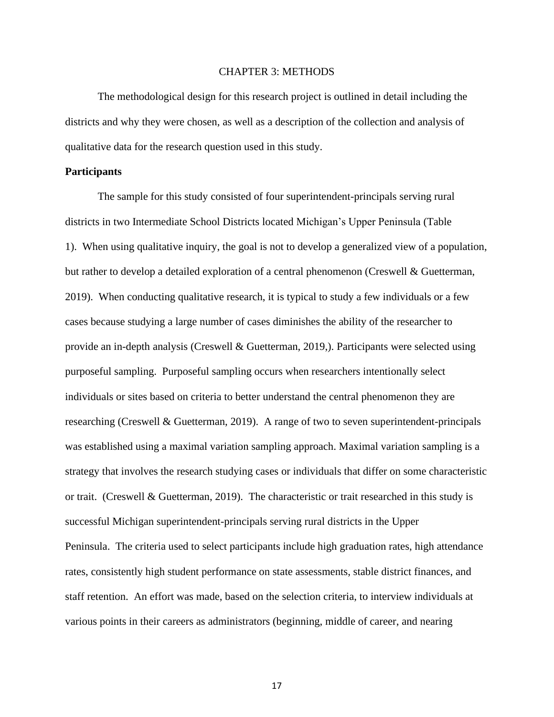#### CHAPTER 3: METHODS

The methodological design for this research project is outlined in detail including the districts and why they were chosen, as well as a description of the collection and analysis of qualitative data for the research question used in this study.

#### **Participants**

The sample for this study consisted of four superintendent-principals serving rural districts in two Intermediate School Districts located Michigan's Upper Peninsula (Table 1). When using qualitative inquiry, the goal is not to develop a generalized view of a population, but rather to develop a detailed exploration of a central phenomenon (Creswell & Guetterman, 2019). When conducting qualitative research, it is typical to study a few individuals or a few cases because studying a large number of cases diminishes the ability of the researcher to provide an in-depth analysis (Creswell & Guetterman, 2019,). Participants were selected using purposeful sampling. Purposeful sampling occurs when researchers intentionally select individuals or sites based on criteria to better understand the central phenomenon they are researching (Creswell & Guetterman, 2019). A range of two to seven superintendent-principals was established using a maximal variation sampling approach. Maximal variation sampling is a strategy that involves the research studying cases or individuals that differ on some characteristic or trait. (Creswell & Guetterman, 2019). The characteristic or trait researched in this study is successful Michigan superintendent-principals serving rural districts in the Upper Peninsula. The criteria used to select participants include high graduation rates, high attendance rates, consistently high student performance on state assessments, stable district finances, and staff retention. An effort was made, based on the selection criteria, to interview individuals at various points in their careers as administrators (beginning, middle of career, and nearing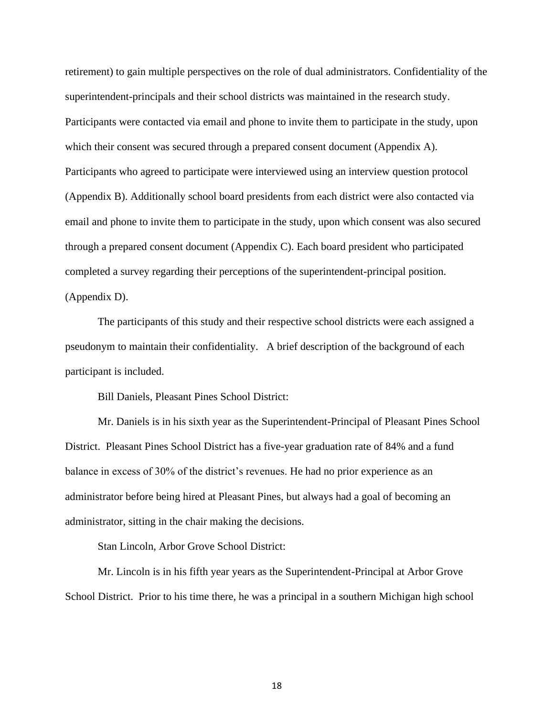retirement) to gain multiple perspectives on the role of dual administrators. Confidentiality of the superintendent-principals and their school districts was maintained in the research study. Participants were contacted via email and phone to invite them to participate in the study, upon which their consent was secured through a prepared consent document (Appendix A). Participants who agreed to participate were interviewed using an interview question protocol (Appendix B). Additionally school board presidents from each district were also contacted via email and phone to invite them to participate in the study, upon which consent was also secured through a prepared consent document (Appendix C). Each board president who participated completed a survey regarding their perceptions of the superintendent-principal position. (Appendix D).

The participants of this study and their respective school districts were each assigned a pseudonym to maintain their confidentiality. A brief description of the background of each participant is included.

Bill Daniels, Pleasant Pines School District:

Mr. Daniels is in his sixth year as the Superintendent-Principal of Pleasant Pines School District. Pleasant Pines School District has a five-year graduation rate of 84% and a fund balance in excess of 30% of the district's revenues. He had no prior experience as an administrator before being hired at Pleasant Pines, but always had a goal of becoming an administrator, sitting in the chair making the decisions.

Stan Lincoln, Arbor Grove School District:

Mr. Lincoln is in his fifth year years as the Superintendent-Principal at Arbor Grove School District. Prior to his time there, he was a principal in a southern Michigan high school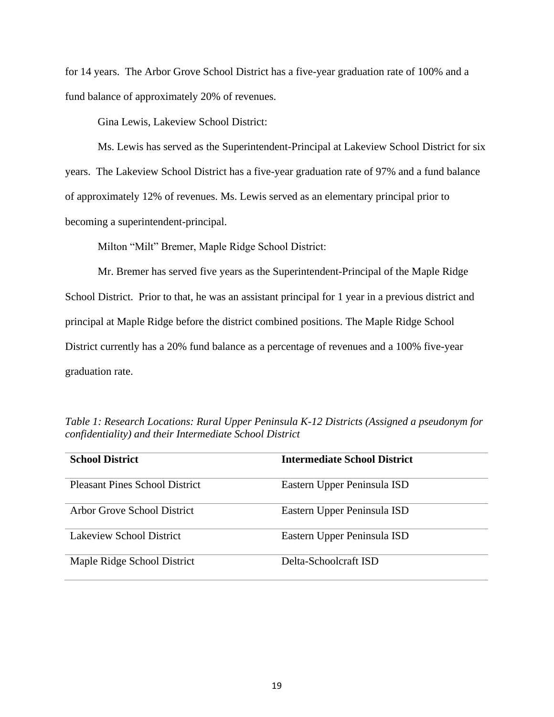for 14 years. The Arbor Grove School District has a five-year graduation rate of 100% and a fund balance of approximately 20% of revenues.

Gina Lewis, Lakeview School District:

Ms. Lewis has served as the Superintendent-Principal at Lakeview School District for six years. The Lakeview School District has a five-year graduation rate of 97% and a fund balance of approximately 12% of revenues. Ms. Lewis served as an elementary principal prior to becoming a superintendent-principal.

Milton "Milt" Bremer, Maple Ridge School District:

Mr. Bremer has served five years as the Superintendent-Principal of the Maple Ridge School District. Prior to that, he was an assistant principal for 1 year in a previous district and principal at Maple Ridge before the district combined positions. The Maple Ridge School District currently has a 20% fund balance as a percentage of revenues and a 100% five-year graduation rate.

| <b>School District</b>                | <b>Intermediate School District</b> |
|---------------------------------------|-------------------------------------|
| <b>Pleasant Pines School District</b> | Eastern Upper Peninsula ISD         |
| Arbor Grove School District           | Eastern Upper Peninsula ISD         |
| Lakeview School District              | Eastern Upper Peninsula ISD         |
| Maple Ridge School District           | Delta-Schoolcraft ISD               |

*Table 1: Research Locations: Rural Upper Peninsula K-12 Districts (Assigned a pseudonym for confidentiality) and their Intermediate School District*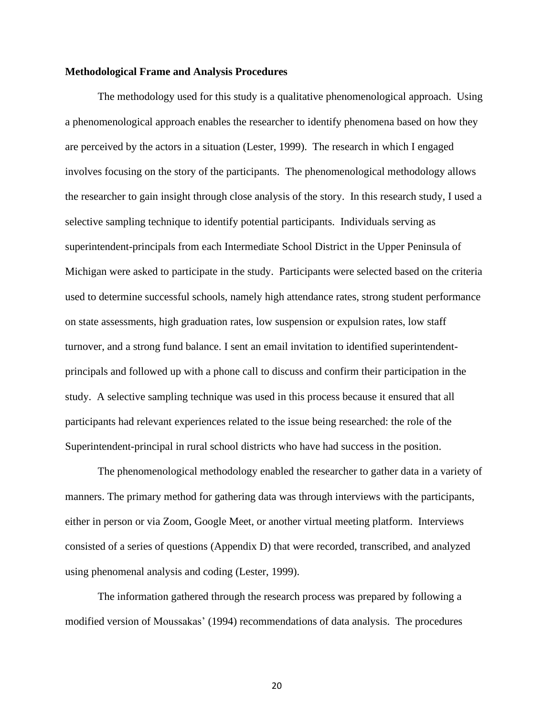#### **Methodological Frame and Analysis Procedures**

The methodology used for this study is a qualitative phenomenological approach. Using a phenomenological approach enables the researcher to identify phenomena based on how they are perceived by the actors in a situation (Lester, 1999). The research in which I engaged involves focusing on the story of the participants. The phenomenological methodology allows the researcher to gain insight through close analysis of the story. In this research study, I used a selective sampling technique to identify potential participants. Individuals serving as superintendent-principals from each Intermediate School District in the Upper Peninsula of Michigan were asked to participate in the study. Participants were selected based on the criteria used to determine successful schools, namely high attendance rates, strong student performance on state assessments, high graduation rates, low suspension or expulsion rates, low staff turnover, and a strong fund balance. I sent an email invitation to identified superintendentprincipals and followed up with a phone call to discuss and confirm their participation in the study. A selective sampling technique was used in this process because it ensured that all participants had relevant experiences related to the issue being researched: the role of the Superintendent-principal in rural school districts who have had success in the position.

The phenomenological methodology enabled the researcher to gather data in a variety of manners. The primary method for gathering data was through interviews with the participants, either in person or via Zoom, Google Meet, or another virtual meeting platform. Interviews consisted of a series of questions (Appendix D) that were recorded, transcribed, and analyzed using phenomenal analysis and coding (Lester, 1999).

The information gathered through the research process was prepared by following a modified version of Moussakas' (1994) recommendations of data analysis. The procedures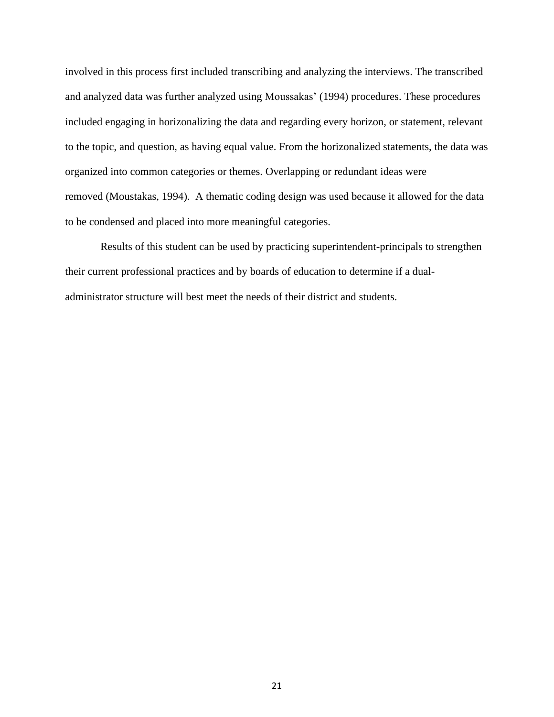involved in this process first included transcribing and analyzing the interviews. The transcribed and analyzed data was further analyzed using Moussakas' (1994) procedures. These procedures included engaging in horizonalizing the data and regarding every horizon, or statement, relevant to the topic, and question, as having equal value. From the horizonalized statements, the data was organized into common categories or themes. Overlapping or redundant ideas were removed (Moustakas, 1994). A thematic coding design was used because it allowed for the data to be condensed and placed into more meaningful categories.

Results of this student can be used by practicing superintendent-principals to strengthen their current professional practices and by boards of education to determine if a dualadministrator structure will best meet the needs of their district and students.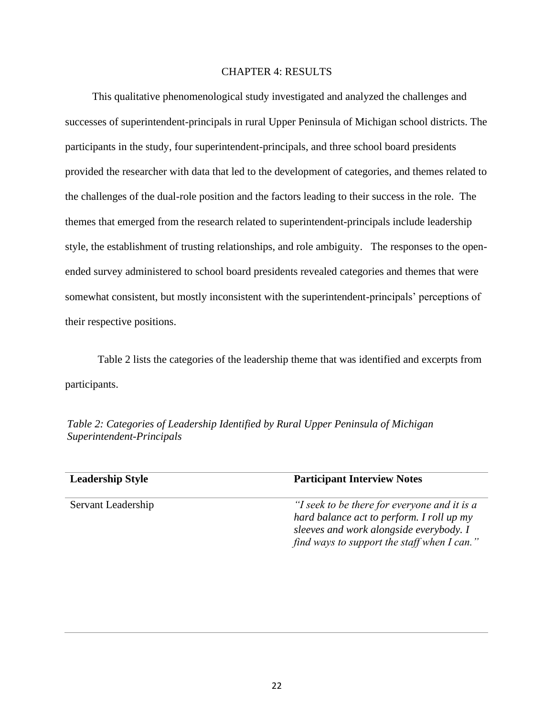#### CHAPTER 4: RESULTS

 This qualitative phenomenological study investigated and analyzed the challenges and successes of superintendent-principals in rural Upper Peninsula of Michigan school districts. The participants in the study, four superintendent-principals, and three school board presidents provided the researcher with data that led to the development of categories, and themes related to the challenges of the dual-role position and the factors leading to their success in the role. The themes that emerged from the research related to superintendent-principals include leadership style, the establishment of trusting relationships, and role ambiguity. The responses to the openended survey administered to school board presidents revealed categories and themes that were somewhat consistent, but mostly inconsistent with the superintendent-principals' perceptions of their respective positions.

Table 2 lists the categories of the leadership theme that was identified and excerpts from participants.

*Table 2: Categories of Leadership Identified by Rural Upper Peninsula of Michigan Superintendent-Principals*

| <b>Leadership Style</b> | <b>Participant Interview Notes</b>                                                                                                                                                  |
|-------------------------|-------------------------------------------------------------------------------------------------------------------------------------------------------------------------------------|
| Servant Leadership      | "I seek to be there for everyone and it is a<br>hard balance act to perform. I roll up my<br>sleeves and work alongside everybody. I<br>find ways to support the staff when I can." |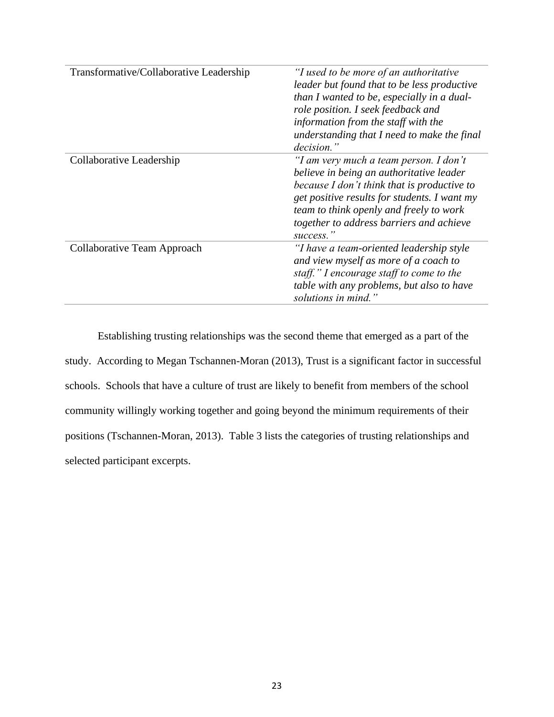| Transformative/Collaborative Leadership | "I used to be more of an authoritative<br>leader but found that to be less productive<br>than I wanted to be, especially in a dual-<br>role position. I seek feedback and<br>information from the staff with the<br>understanding that I need to make the final                       |
|-----------------------------------------|---------------------------------------------------------------------------------------------------------------------------------------------------------------------------------------------------------------------------------------------------------------------------------------|
|                                         | decision."                                                                                                                                                                                                                                                                            |
| Collaborative Leadership                | "I am very much a team person. I don't<br>believe in being an authoritative leader<br>because I don't think that is productive to<br>get positive results for students. I want my<br>team to think openly and freely to work<br>together to address barriers and achieve<br>success." |
| Collaborative Team Approach             | "I have a team-oriented leadership style<br>and view myself as more of a coach to<br>staff." I encourage staff to come to the<br>table with any problems, but also to have<br>solutions in mind."                                                                                     |

Establishing trusting relationships was the second theme that emerged as a part of the study. According to Megan Tschannen-Moran (2013), Trust is a significant factor in successful schools. Schools that have a culture of trust are likely to benefit from members of the school community willingly working together and going beyond the minimum requirements of their positions (Tschannen-Moran, 2013). Table 3 lists the categories of trusting relationships and selected participant excerpts.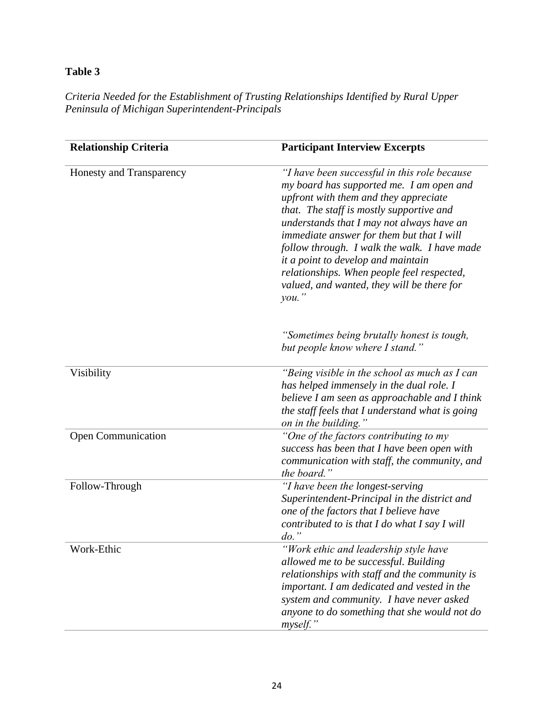# **Table 3**

*Criteria Needed for the Establishment of Trusting Relationships Identified by Rural Upper Peninsula of Michigan Superintendent-Principals*

| <b>Relationship Criteria</b> | <b>Participant Interview Excerpts</b>                                                                                                                                                                                                                                                                                                                                                                                                                               |
|------------------------------|---------------------------------------------------------------------------------------------------------------------------------------------------------------------------------------------------------------------------------------------------------------------------------------------------------------------------------------------------------------------------------------------------------------------------------------------------------------------|
| Honesty and Transparency     | "I have been successful in this role because"<br>my board has supported me. I am open and<br>upfront with them and they appreciate<br>that. The staff is mostly supportive and<br>understands that I may not always have an<br>immediate answer for them but that I will<br>follow through. I walk the walk. I have made<br>it a point to develop and maintain<br>relationships. When people feel respected,<br>valued, and wanted, they will be there for<br>you.' |
|                              | "Sometimes being brutally honest is tough,<br>but people know where I stand."                                                                                                                                                                                                                                                                                                                                                                                       |
| Visibility                   | "Being visible in the school as much as I can<br>has helped immensely in the dual role. I<br>believe I am seen as approachable and I think<br>the staff feels that I understand what is going<br>on in the building."                                                                                                                                                                                                                                               |
| <b>Open Communication</b>    | "One of the factors contributing to my<br>success has been that I have been open with<br>communication with staff, the community, and<br>the board."                                                                                                                                                                                                                                                                                                                |
| Follow-Through               | "I have been the longest-serving"<br>Superintendent-Principal in the district and<br>one of the factors that I believe have<br>contributed to is that I do what I say I will<br>$do.$ "                                                                                                                                                                                                                                                                             |
| Work-Ethic                   | "Work ethic and leadership style have<br>allowed me to be successful. Building<br>relationships with staff and the community is<br>important. I am dedicated and vested in the<br>system and community. I have never asked<br>anyone to do something that she would not do<br>myself."                                                                                                                                                                              |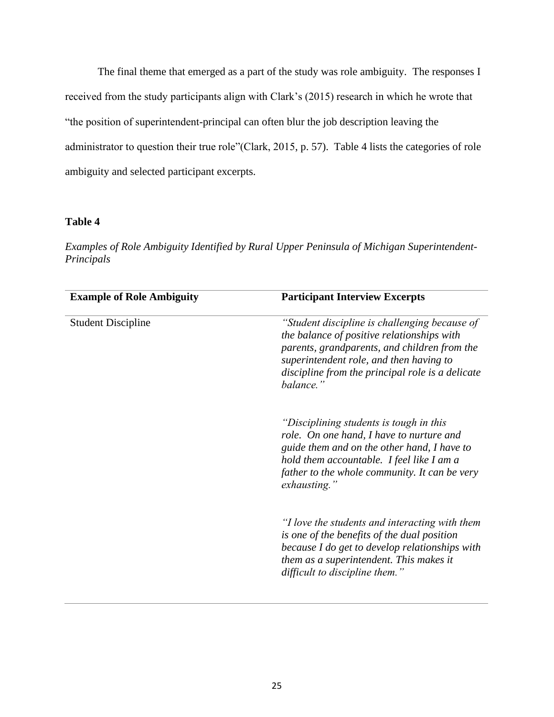The final theme that emerged as a part of the study was role ambiguity. The responses I received from the study participants align with Clark's (2015) research in which he wrote that "the position of superintendent-principal can often blur the job description leaving the administrator to question their true role"(Clark, 2015, p. 57). Table 4 lists the categories of role ambiguity and selected participant excerpts.

# **Table 4**

*Examples of Role Ambiguity Identified by Rural Upper Peninsula of Michigan Superintendent-Principals*

| <b>Example of Role Ambiguity</b> | <b>Participant Interview Excerpts</b>                                                                                                                                                                                                                   |
|----------------------------------|---------------------------------------------------------------------------------------------------------------------------------------------------------------------------------------------------------------------------------------------------------|
| <b>Student Discipline</b>        | "Student discipline is challenging because of<br>the balance of positive relationships with<br>parents, grandparents, and children from the<br>superintendent role, and then having to<br>discipline from the principal role is a delicate<br>balance." |
|                                  | "Disciplining students is tough in this<br>role. On one hand, I have to nurture and<br>guide them and on the other hand, I have to<br>hold them accountable. I feel like I am a<br>father to the whole community. It can be very<br>exhausting."        |
|                                  | "I love the students and interacting with them<br>is one of the benefits of the dual position<br>because I do get to develop relationships with<br>them as a superintendent. This makes it<br>difficult to discipline them."                            |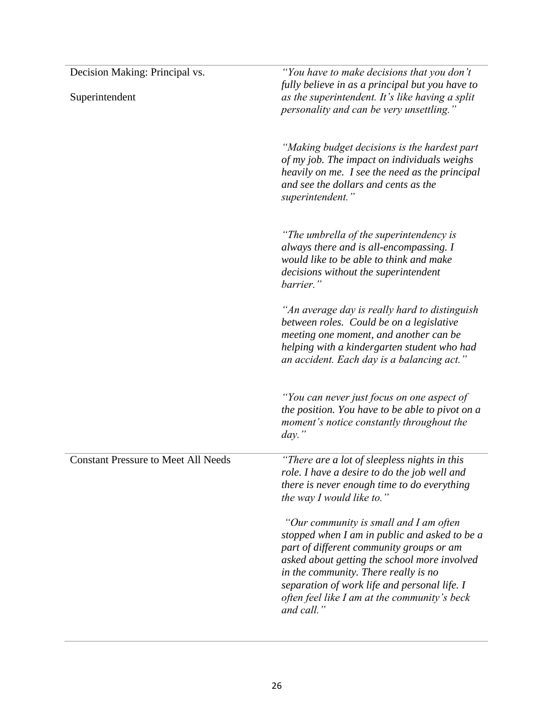| Decision Making: Principal vs.             | "You have to make decisions that you don't<br>fully believe in as a principal but you have to                                                                                                                                                                                                                                             |
|--------------------------------------------|-------------------------------------------------------------------------------------------------------------------------------------------------------------------------------------------------------------------------------------------------------------------------------------------------------------------------------------------|
| Superintendent                             | as the superintendent. It's like having a split<br>personality and can be very unsettling."                                                                                                                                                                                                                                               |
|                                            | "Making budget decisions is the hardest part<br>of my job. The impact on individuals weighs<br>heavily on me. I see the need as the principal<br>and see the dollars and cents as the<br>superintendent."                                                                                                                                 |
|                                            | "The umbrella of the superintendency is<br>always there and is all-encompassing. I<br>would like to be able to think and make<br>decisions without the superintendent<br>barrier."                                                                                                                                                        |
|                                            | "An average day is really hard to distinguish<br>between roles. Could be on a legislative<br>meeting one moment, and another can be<br>helping with a kindergarten student who had<br>an accident. Each day is a balancing act."                                                                                                          |
|                                            | "You can never just focus on one aspect of<br>the position. You have to be able to pivot on a<br>moment's notice constantly throughout the<br>$day$ .                                                                                                                                                                                     |
| <b>Constant Pressure to Meet All Needs</b> | "There are a lot of sleepless nights in this<br>role. I have a desire to do the job well and<br>there is never enough time to do everything<br>the way I would like to."                                                                                                                                                                  |
|                                            | "Our community is small and I am often<br>stopped when I am in public and asked to be a<br>part of different community groups or am<br>asked about getting the school more involved<br>in the community. There really is no<br>separation of work life and personal life. I<br>often feel like I am at the community's beck<br>and call." |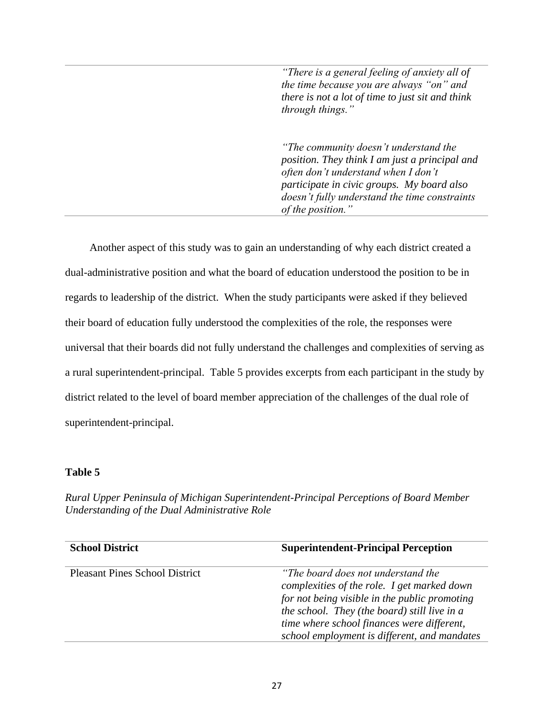*"There is a general feeling of anxiety all of the time because you are always "on" and there is not a lot of time to just sit and think through things."*

*"The community doesn't understand the position. They think I am just a principal and often don't understand when I don't participate in civic groups. My board also doesn't fully understand the time constraints of the position."*

 Another aspect of this study was to gain an understanding of why each district created a dual-administrative position and what the board of education understood the position to be in regards to leadership of the district. When the study participants were asked if they believed their board of education fully understood the complexities of the role, the responses were universal that their boards did not fully understand the challenges and complexities of serving as a rural superintendent-principal. Table 5 provides excerpts from each participant in the study by district related to the level of board member appreciation of the challenges of the dual role of superintendent-principal.

### **Table 5**

*Rural Upper Peninsula of Michigan Superintendent-Principal Perceptions of Board Member Understanding of the Dual Administrative Role*

| <b>School District</b>                | <b>Superintendent-Principal Perception</b>                                                                                                                                                                                                                                       |
|---------------------------------------|----------------------------------------------------------------------------------------------------------------------------------------------------------------------------------------------------------------------------------------------------------------------------------|
| <b>Pleasant Pines School District</b> | "The board does not understand the<br>complexities of the role. I get marked down<br>for not being visible in the public promoting<br>the school. They (the board) still live in a<br>time where school finances were different,<br>school employment is different, and mandates |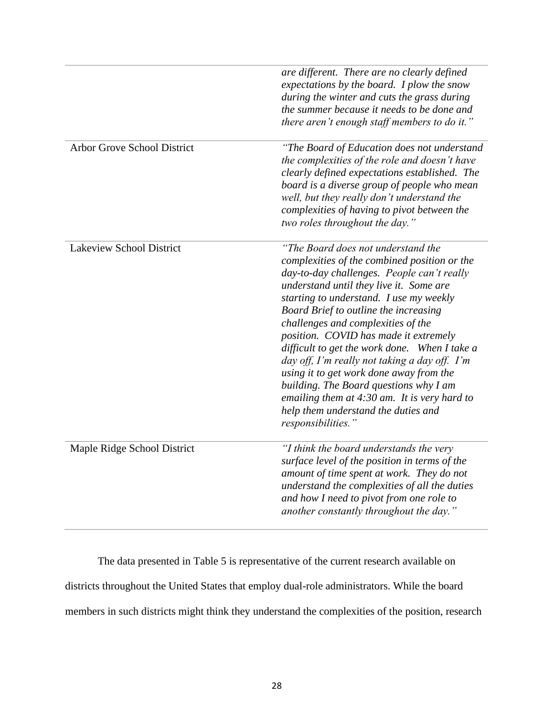|                                    | are different. There are no clearly defined<br>expectations by the board. I plow the snow<br>during the winter and cuts the grass during<br>the summer because it needs to be done and<br>there aren't enough staff members to do it."                                                                                                                                                                                                                                                                                                                                                                                                               |
|------------------------------------|------------------------------------------------------------------------------------------------------------------------------------------------------------------------------------------------------------------------------------------------------------------------------------------------------------------------------------------------------------------------------------------------------------------------------------------------------------------------------------------------------------------------------------------------------------------------------------------------------------------------------------------------------|
| <b>Arbor Grove School District</b> | "The Board of Education does not understand<br>the complexities of the role and doesn't have<br>clearly defined expectations established. The<br>board is a diverse group of people who mean<br>well, but they really don't understand the<br>complexities of having to pivot between the<br>two roles throughout the day."                                                                                                                                                                                                                                                                                                                          |
| <b>Lakeview School District</b>    | "The Board does not understand the<br>complexities of the combined position or the<br>day-to-day challenges. People can't really<br>understand until they live it. Some are<br>starting to understand. I use my weekly<br>Board Brief to outline the increasing<br>challenges and complexities of the<br>position. COVID has made it extremely<br>difficult to get the work done. When I take a<br>day off, I'm really not taking a day off. I'm<br>using it to get work done away from the<br>building. The Board questions why I am<br>emailing them at $4:30$ am. It is very hard to<br>help them understand the duties and<br>responsibilities." |
| Maple Ridge School District        | "I think the board understands the very<br>surface level of the position in terms of the<br>amount of time spent at work. They do not<br>understand the complexities of all the duties<br>and how I need to pivot from one role to<br>another constantly throughout the day."                                                                                                                                                                                                                                                                                                                                                                        |

The data presented in Table 5 is representative of the current research available on districts throughout the United States that employ dual-role administrators. While the board members in such districts might think they understand the complexities of the position, research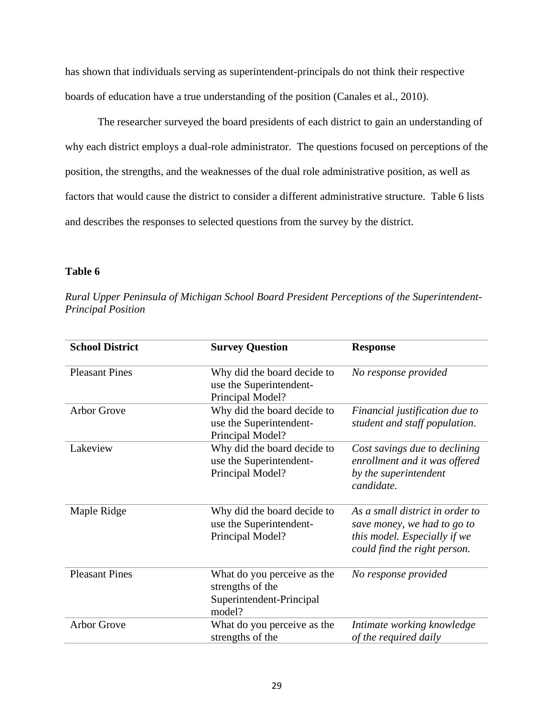has shown that individuals serving as superintendent-principals do not think their respective boards of education have a true understanding of the position (Canales et al., 2010).

The researcher surveyed the board presidents of each district to gain an understanding of why each district employs a dual-role administrator. The questions focused on perceptions of the position, the strengths, and the weaknesses of the dual role administrative position, as well as factors that would cause the district to consider a different administrative structure. Table 6 lists and describes the responses to selected questions from the survey by the district.

# **Table 6**

| Rural Upper Peninsula of Michigan School Board President Perceptions of the Superintendent- |  |  |
|---------------------------------------------------------------------------------------------|--|--|
| <b>Principal Position</b>                                                                   |  |  |

| <b>School District</b> | <b>Survey Question</b>                                                                | <b>Response</b>                                                                                                                |
|------------------------|---------------------------------------------------------------------------------------|--------------------------------------------------------------------------------------------------------------------------------|
| <b>Pleasant Pines</b>  | Why did the board decide to<br>use the Superintendent-<br>Principal Model?            | No response provided                                                                                                           |
| Arbor Grove            | Why did the board decide to<br>use the Superintendent-<br>Principal Model?            | Financial justification due to<br>student and staff population.                                                                |
| Lakeview               | Why did the board decide to<br>use the Superintendent-<br>Principal Model?            | Cost savings due to declining<br>enrollment and it was offered<br>by the superintendent<br>candidate.                          |
| Maple Ridge            | Why did the board decide to<br>use the Superintendent-<br>Principal Model?            | As a small district in order to<br>save money, we had to go to<br>this model. Especially if we<br>could find the right person. |
| <b>Pleasant Pines</b>  | What do you perceive as the<br>strengths of the<br>Superintendent-Principal<br>model? | No response provided                                                                                                           |
| <b>Arbor Grove</b>     | What do you perceive as the<br>strengths of the                                       | Intimate working knowledge<br>of the required daily                                                                            |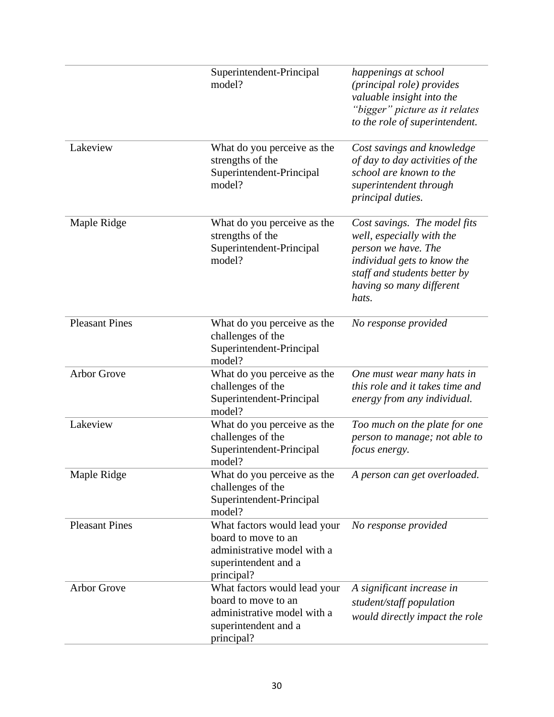|                       | Superintendent-Principal<br>model?                                                                                       | happenings at school<br>(principal role) provides<br>valuable insight into the<br>"bigger" picture as it relates<br>to the role of superintendent.                                   |
|-----------------------|--------------------------------------------------------------------------------------------------------------------------|--------------------------------------------------------------------------------------------------------------------------------------------------------------------------------------|
| Lakeview              | What do you perceive as the<br>strengths of the<br>Superintendent-Principal<br>model?                                    | Cost savings and knowledge<br>of day to day activities of the<br>school are known to the<br>superintendent through<br>principal duties.                                              |
| Maple Ridge           | What do you perceive as the<br>strengths of the<br>Superintendent-Principal<br>model?                                    | Cost savings. The model fits<br>well, especially with the<br>person we have. The<br>individual gets to know the<br>staff and students better by<br>having so many different<br>hats. |
| <b>Pleasant Pines</b> | What do you perceive as the<br>challenges of the<br>Superintendent-Principal<br>model?                                   | No response provided                                                                                                                                                                 |
| <b>Arbor Grove</b>    | What do you perceive as the<br>challenges of the<br>Superintendent-Principal<br>model?                                   | One must wear many hats in<br>this role and it takes time and<br>energy from any individual.                                                                                         |
| Lakeview              | What do you perceive as the<br>challenges of the<br>Superintendent-Principal<br>model?                                   | Too much on the plate for one<br>person to manage; not able to<br><i>focus energy.</i>                                                                                               |
| Maple Ridge           | What do you perceive as the<br>challenges of the<br>Superintendent-Principal<br>model?                                   | A person can get overloaded.                                                                                                                                                         |
| <b>Pleasant Pines</b> | What factors would lead your<br>board to move to an<br>administrative model with a<br>superintendent and a<br>principal? | No response provided                                                                                                                                                                 |
| <b>Arbor Grove</b>    | What factors would lead your<br>board to move to an<br>administrative model with a<br>superintendent and a<br>principal? | A significant increase in<br>student/staff population<br>would directly impact the role                                                                                              |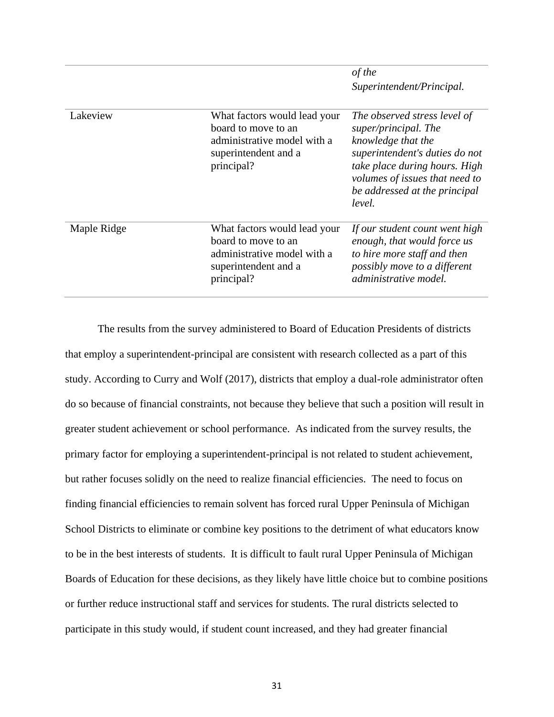|             |                                                                                                                          | of the<br>Superintendent/Principal.                                                                                                                                                                                        |
|-------------|--------------------------------------------------------------------------------------------------------------------------|----------------------------------------------------------------------------------------------------------------------------------------------------------------------------------------------------------------------------|
| Lakeview    | What factors would lead your<br>board to move to an<br>administrative model with a<br>superintendent and a<br>principal? | The observed stress level of<br>super/principal. The<br>knowledge that the<br>superintendent's duties do not<br>take place during hours. High<br>volumes of issues that need to<br>be addressed at the principal<br>level. |
| Maple Ridge | What factors would lead your<br>board to move to an<br>administrative model with a<br>superintendent and a<br>principal? | If our student count went high<br>enough, that would force us<br>to hire more staff and then<br>possibly move to a different<br>administrative model.                                                                      |

The results from the survey administered to Board of Education Presidents of districts that employ a superintendent-principal are consistent with research collected as a part of this study. According to Curry and Wolf (2017), districts that employ a dual-role administrator often do so because of financial constraints, not because they believe that such a position will result in greater student achievement or school performance. As indicated from the survey results, the primary factor for employing a superintendent-principal is not related to student achievement, but rather focuses solidly on the need to realize financial efficiencies. The need to focus on finding financial efficiencies to remain solvent has forced rural Upper Peninsula of Michigan School Districts to eliminate or combine key positions to the detriment of what educators know to be in the best interests of students. It is difficult to fault rural Upper Peninsula of Michigan Boards of Education for these decisions, as they likely have little choice but to combine positions or further reduce instructional staff and services for students. The rural districts selected to participate in this study would, if student count increased, and they had greater financial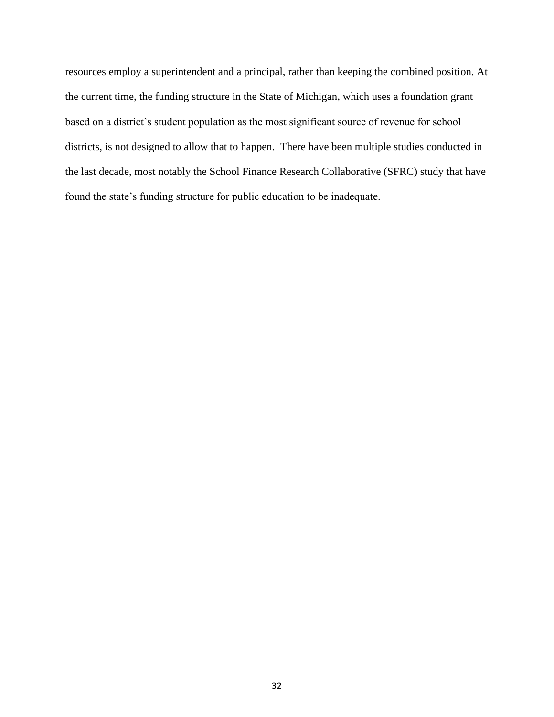resources employ a superintendent and a principal, rather than keeping the combined position. At the current time, the funding structure in the State of Michigan, which uses a foundation grant based on a district's student population as the most significant source of revenue for school districts, is not designed to allow that to happen. There have been multiple studies conducted in the last decade, most notably the School Finance Research Collaborative (SFRC) study that have found the state's funding structure for public education to be inadequate.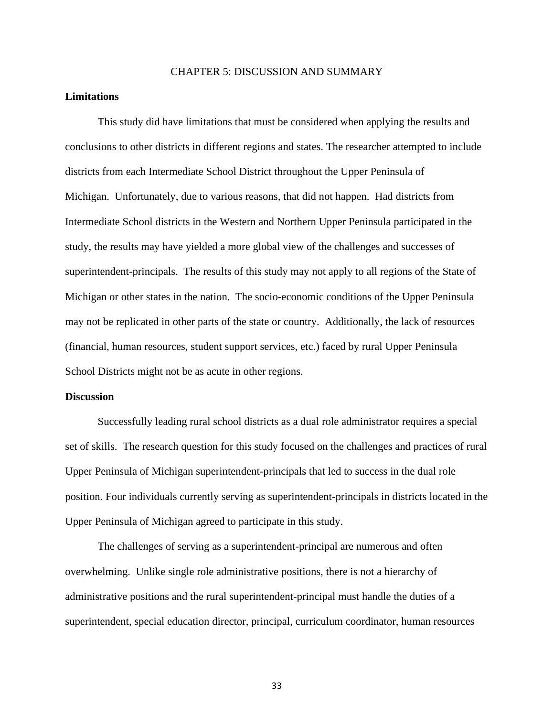#### CHAPTER 5: DISCUSSION AND SUMMARY

# **Limitations**

This study did have limitations that must be considered when applying the results and conclusions to other districts in different regions and states. The researcher attempted to include districts from each Intermediate School District throughout the Upper Peninsula of Michigan. Unfortunately, due to various reasons, that did not happen. Had districts from Intermediate School districts in the Western and Northern Upper Peninsula participated in the study, the results may have yielded a more global view of the challenges and successes of superintendent-principals. The results of this study may not apply to all regions of the State of Michigan or other states in the nation. The socio-economic conditions of the Upper Peninsula may not be replicated in other parts of the state or country. Additionally, the lack of resources (financial, human resources, student support services, etc.) faced by rural Upper Peninsula School Districts might not be as acute in other regions.

#### **Discussion**

Successfully leading rural school districts as a dual role administrator requires a special set of skills. The research question for this study focused on the challenges and practices of rural Upper Peninsula of Michigan superintendent-principals that led to success in the dual role position. Four individuals currently serving as superintendent-principals in districts located in the Upper Peninsula of Michigan agreed to participate in this study.

The challenges of serving as a superintendent-principal are numerous and often overwhelming. Unlike single role administrative positions, there is not a hierarchy of administrative positions and the rural superintendent-principal must handle the duties of a superintendent, special education director, principal, curriculum coordinator, human resources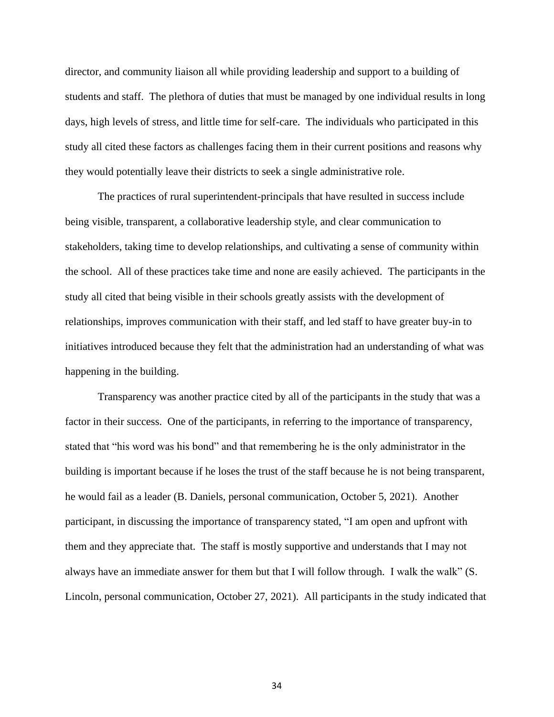director, and community liaison all while providing leadership and support to a building of students and staff. The plethora of duties that must be managed by one individual results in long days, high levels of stress, and little time for self-care. The individuals who participated in this study all cited these factors as challenges facing them in their current positions and reasons why they would potentially leave their districts to seek a single administrative role.

The practices of rural superintendent-principals that have resulted in success include being visible, transparent, a collaborative leadership style, and clear communication to stakeholders, taking time to develop relationships, and cultivating a sense of community within the school. All of these practices take time and none are easily achieved. The participants in the study all cited that being visible in their schools greatly assists with the development of relationships, improves communication with their staff, and led staff to have greater buy-in to initiatives introduced because they felt that the administration had an understanding of what was happening in the building.

Transparency was another practice cited by all of the participants in the study that was a factor in their success. One of the participants, in referring to the importance of transparency, stated that "his word was his bond" and that remembering he is the only administrator in the building is important because if he loses the trust of the staff because he is not being transparent, he would fail as a leader (B. Daniels, personal communication, October 5, 2021). Another participant, in discussing the importance of transparency stated, "I am open and upfront with them and they appreciate that. The staff is mostly supportive and understands that I may not always have an immediate answer for them but that I will follow through. I walk the walk" (S. Lincoln, personal communication, October 27, 2021). All participants in the study indicated that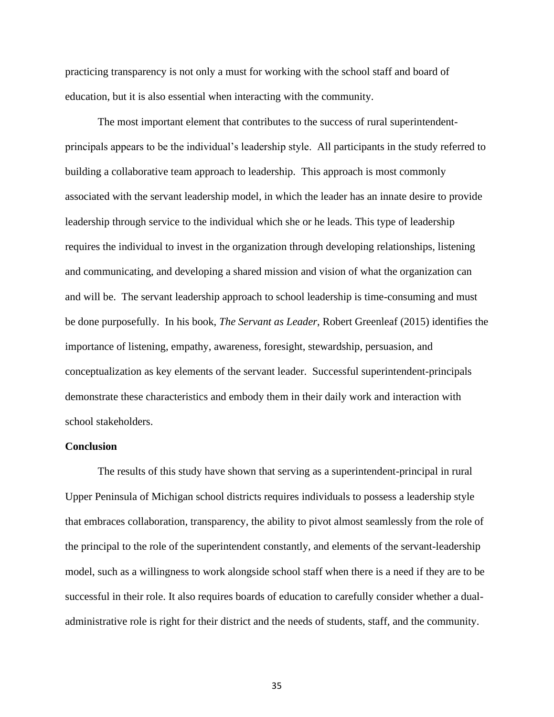practicing transparency is not only a must for working with the school staff and board of education, but it is also essential when interacting with the community.

The most important element that contributes to the success of rural superintendentprincipals appears to be the individual's leadership style. All participants in the study referred to building a collaborative team approach to leadership. This approach is most commonly associated with the servant leadership model, in which the leader has an innate desire to provide leadership through service to the individual which she or he leads. This type of leadership requires the individual to invest in the organization through developing relationships, listening and communicating, and developing a shared mission and vision of what the organization can and will be. The servant leadership approach to school leadership is time-consuming and must be done purposefully. In his book, *The Servant as Leader*, Robert Greenleaf (2015) identifies the importance of listening, empathy, awareness, foresight, stewardship, persuasion, and conceptualization as key elements of the servant leader. Successful superintendent-principals demonstrate these characteristics and embody them in their daily work and interaction with school stakeholders.

#### **Conclusion**

The results of this study have shown that serving as a superintendent-principal in rural Upper Peninsula of Michigan school districts requires individuals to possess a leadership style that embraces collaboration, transparency, the ability to pivot almost seamlessly from the role of the principal to the role of the superintendent constantly, and elements of the servant-leadership model, such as a willingness to work alongside school staff when there is a need if they are to be successful in their role. It also requires boards of education to carefully consider whether a dualadministrative role is right for their district and the needs of students, staff, and the community.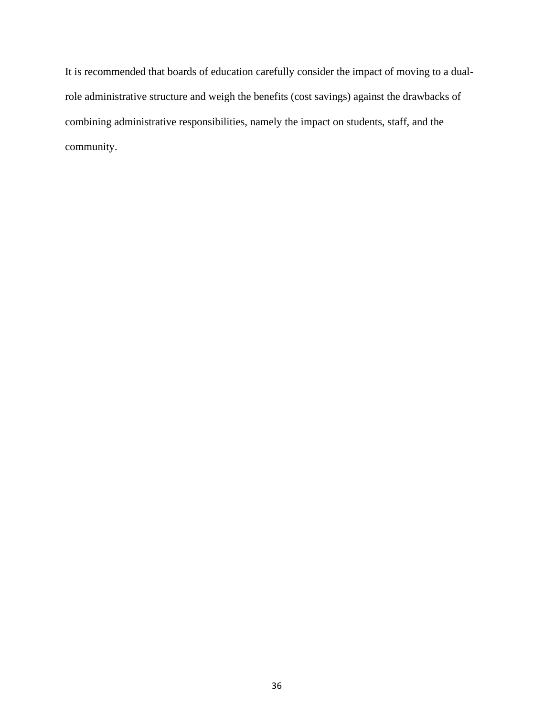It is recommended that boards of education carefully consider the impact of moving to a dualrole administrative structure and weigh the benefits (cost savings) against the drawbacks of combining administrative responsibilities, namely the impact on students, staff, and the community.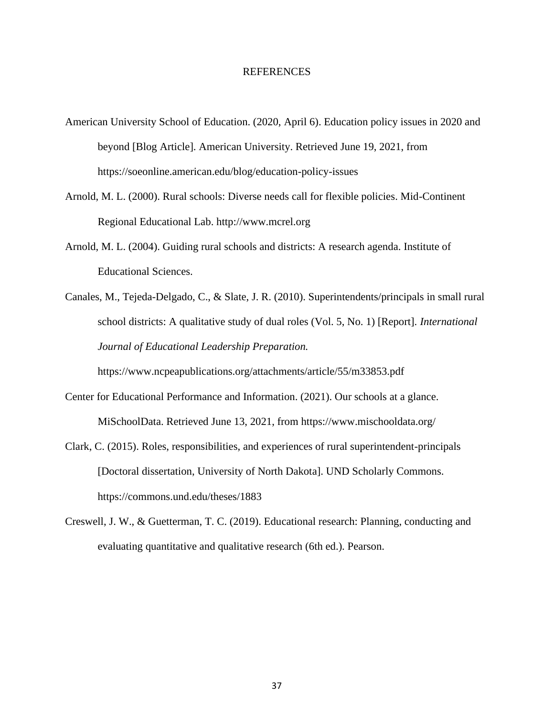#### REFERENCES

- American University School of Education. (2020, April 6). Education policy issues in 2020 and beyond [Blog Article]. American University. Retrieved June 19, 2021, from https://soeonline.american.edu/blog/education-policy-issues
- Arnold, M. L. (2000). Rural schools: Diverse needs call for flexible policies. Mid-Continent Regional Educational Lab. http://www.mcrel.org
- Arnold, M. L. (2004). Guiding rural schools and districts: A research agenda. Institute of Educational Sciences.
- Canales, M., Tejeda-Delgado, C., & Slate, J. R. (2010). Superintendents/principals in small rural school districts: A qualitative study of dual roles (Vol. 5, No. 1) [Report]. *International Journal of Educational Leadership Preparation.*

https://www.ncpeapublications.org/attachments/article/55/m33853.pdf

- Center for Educational Performance and Information. (2021). Our schools at a glance. MiSchoolData. Retrieved June 13, 2021, from https://www.mischooldata.org/
- Clark, C. (2015). Roles, responsibilities, and experiences of rural superintendent-principals [Doctoral dissertation, University of North Dakota]. UND Scholarly Commons. https://commons.und.edu/theses/1883
- Creswell, J. W., & Guetterman, T. C. (2019). Educational research: Planning, conducting and evaluating quantitative and qualitative research (6th ed.). Pearson.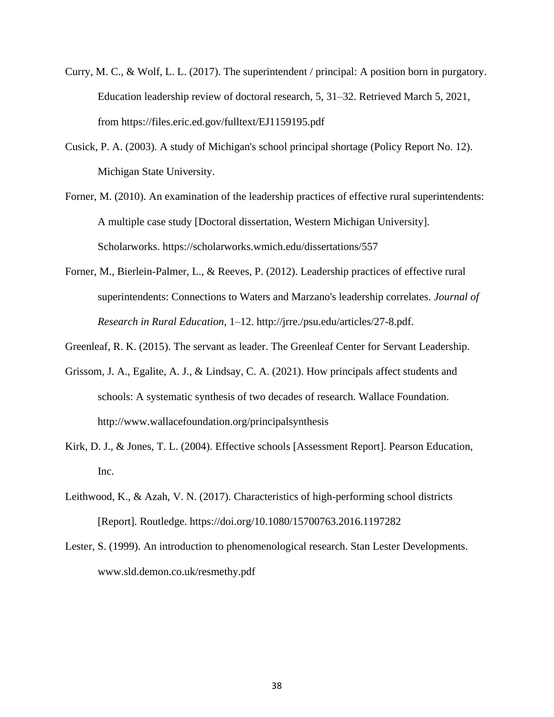- Curry, M. C., & Wolf, L. L. (2017). The superintendent / principal: A position born in purgatory. Education leadership review of doctoral research, 5, 31–32. Retrieved March 5, 2021, from https://files.eric.ed.gov/fulltext/EJ1159195.pdf
- Cusick, P. A. (2003). A study of Michigan's school principal shortage (Policy Report No. 12). Michigan State University.
- Forner, M. (2010). An examination of the leadership practices of effective rural superintendents: A multiple case study [Doctoral dissertation, Western Michigan University]. Scholarworks. https://scholarworks.wmich.edu/dissertations/557
- Forner, M., Bierlein-Palmer, L., & Reeves, P. (2012). Leadership practices of effective rural superintendents: Connections to Waters and Marzano's leadership correlates. *Journal of Research in Rural Education*, 1–12. http://jrre./psu.edu/articles/27-8.pdf.
- Greenleaf, R. K. (2015). The servant as leader. The Greenleaf Center for Servant Leadership.
- Grissom, J. A., Egalite, A. J., & Lindsay, C. A. (2021). How principals affect students and schools: A systematic synthesis of two decades of research. Wallace Foundation. http://www.wallacefoundation.org/principalsynthesis
- Kirk, D. J., & Jones, T. L. (2004). Effective schools [Assessment Report]. Pearson Education, Inc.
- Leithwood, K., & Azah, V. N. (2017). Characteristics of high-performing school districts [Report]. Routledge. https://doi.org/10.1080/15700763.2016.1197282
- Lester, S. (1999). An introduction to phenomenological research. Stan Lester Developments. www.sld.demon.co.uk/resmethy.pdf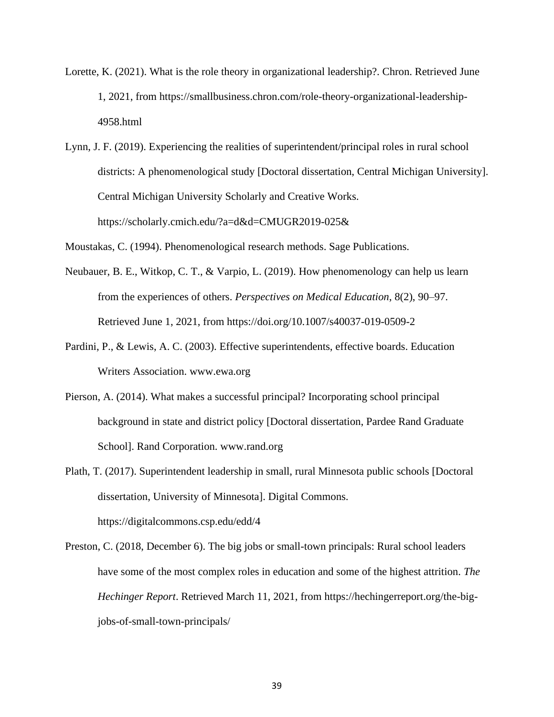- Lorette, K. (2021). What is the role theory in organizational leadership?. Chron. Retrieved June 1, 2021, from https://smallbusiness.chron.com/role-theory-organizational-leadership-4958.html
- Lynn, J. F. (2019). Experiencing the realities of superintendent/principal roles in rural school districts: A phenomenological study [Doctoral dissertation, Central Michigan University]. Central Michigan University Scholarly and Creative Works. https://scholarly.cmich.edu/?a=d&d=CMUGR2019-025&

Moustakas, C. (1994). Phenomenological research methods. Sage Publications.

- Neubauer, B. E., Witkop, C. T., & Varpio, L. (2019). How phenomenology can help us learn from the experiences of others. *Perspectives on Medical Education*, 8(2), 90–97. Retrieved June 1, 2021, from https://doi.org/10.1007/s40037-019-0509-2
- Pardini, P., & Lewis, A. C. (2003). Effective superintendents, effective boards. Education Writers Association. www.ewa.org
- Pierson, A. (2014). What makes a successful principal? Incorporating school principal background in state and district policy [Doctoral dissertation, Pardee Rand Graduate School]. Rand Corporation. www.rand.org
- Plath, T. (2017). Superintendent leadership in small, rural Minnesota public schools [Doctoral dissertation, University of Minnesota]. Digital Commons. https://digitalcommons.csp.edu/edd/4
- Preston, C. (2018, December 6). The big jobs or small-town principals: Rural school leaders have some of the most complex roles in education and some of the highest attrition. *The Hechinger Report*. Retrieved March 11, 2021, from https://hechingerreport.org/the-bigjobs-of-small-town-principals/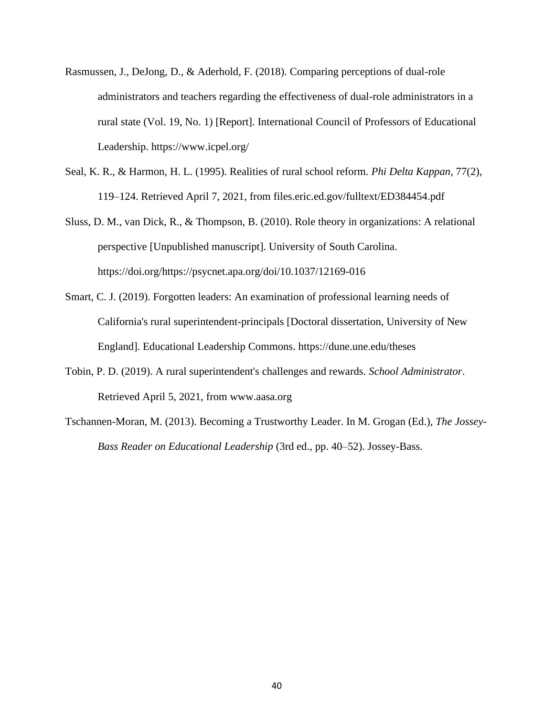- Rasmussen, J., DeJong, D., & Aderhold, F. (2018). Comparing perceptions of dual-role administrators and teachers regarding the effectiveness of dual-role administrators in a rural state (Vol. 19, No. 1) [Report]. International Council of Professors of Educational Leadership. https://www.icpel.org/
- Seal, K. R., & Harmon, H. L. (1995). Realities of rural school reform. *Phi Delta Kappan*, 77(2), 119–124. Retrieved April 7, 2021, from files.eric.ed.gov/fulltext/ED384454.pdf
- Sluss, D. M., van Dick, R., & Thompson, B. (2010). Role theory in organizations: A relational perspective [Unpublished manuscript]. University of South Carolina. https://doi.org/https://psycnet.apa.org/doi/10.1037/12169-016
- Smart, C. J. (2019). Forgotten leaders: An examination of professional learning needs of California's rural superintendent-principals [Doctoral dissertation, University of New England]. Educational Leadership Commons. https://dune.une.edu/theses
- Tobin, P. D. (2019). A rural superintendent's challenges and rewards. *School Administrator*. Retrieved April 5, 2021, from www.aasa.org
- Tschannen-Moran, M. (2013). Becoming a Trustworthy Leader. In M. Grogan (Ed.), *The Jossey-Bass Reader on Educational Leadership* (3rd ed., pp. 40–52). Jossey-Bass.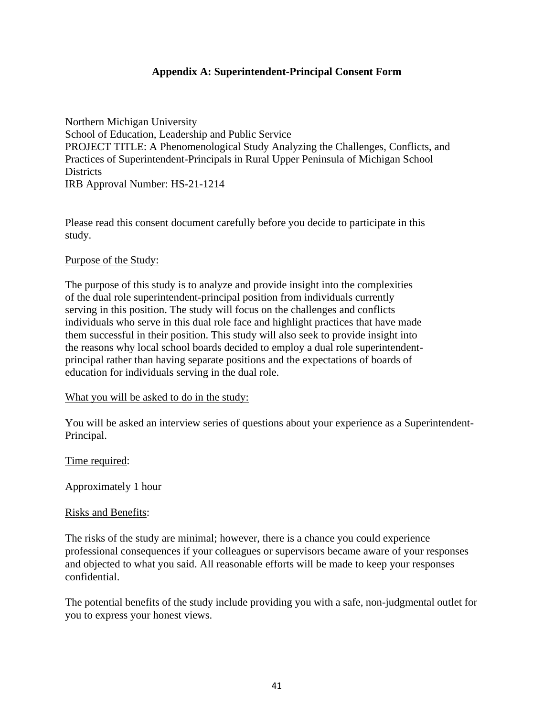# **Appendix A: Superintendent-Principal Consent Form**

Northern Michigan University School of Education, Leadership and Public Service PROJECT TITLE: A Phenomenological Study Analyzing the Challenges, Conflicts, and Practices of Superintendent-Principals in Rural Upper Peninsula of Michigan School Districts IRB Approval Number: HS-21-1214

Please read this consent document carefully before you decide to participate in this study.

### Purpose of the Study:

The purpose of this study is to analyze and provide insight into the complexities of the dual role superintendent-principal position from individuals currently serving in this position. The study will focus on the challenges and conflicts individuals who serve in this dual role face and highlight practices that have made them successful in their position. This study will also seek to provide insight into the reasons why local school boards decided to employ a dual role superintendentprincipal rather than having separate positions and the expectations of boards of education for individuals serving in the dual role.

# What you will be asked to do in the study:

You will be asked an interview series of questions about your experience as a Superintendent-Principal.

# Time required:

Approximately 1 hour

#### Risks and Benefits:

The risks of the study are minimal; however, there is a chance you could experience professional consequences if your colleagues or supervisors became aware of your responses and objected to what you said. All reasonable efforts will be made to keep your responses confidential.

The potential benefits of the study include providing you with a safe, non-judgmental outlet for you to express your honest views.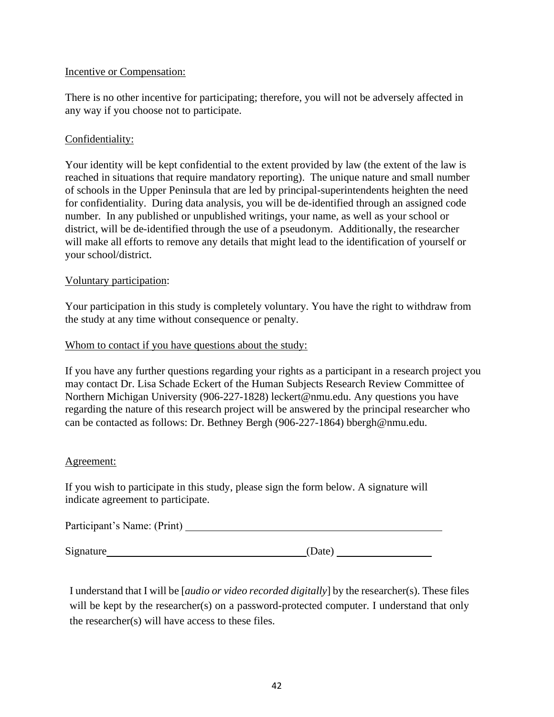# Incentive or Compensation:

There is no other incentive for participating; therefore, you will not be adversely affected in any way if you choose not to participate.

# Confidentiality:

Your identity will be kept confidential to the extent provided by law (the extent of the law is reached in situations that require mandatory reporting). The unique nature and small number of schools in the Upper Peninsula that are led by principal-superintendents heighten the need for confidentiality. During data analysis, you will be de-identified through an assigned code number. In any published or unpublished writings, your name, as well as your school or district, will be de-identified through the use of a pseudonym. Additionally, the researcher will make all efforts to remove any details that might lead to the identification of yourself or your school/district.

# Voluntary participation:

Your participation in this study is completely voluntary. You have the right to withdraw from the study at any time without consequence or penalty.

# Whom to contact if you have questions about the study:

If you have any further questions regarding your rights as a participant in a research project you may contact Dr. Lisa Schade Eckert of the Human Subjects Research Review Committee of Northern Michigan University (906-227-1828) leckert@nmu.edu. Any questions you have regarding the nature of this research project will be answered by the principal researcher who can be contacted as follows: Dr. Bethney Bergh (906-227-1864) bbergh@nmu.edu.

# Agreement:

If you wish to participate in this study, please sign the form below. A signature will indicate agreement to participate.

| Participant's Name: (Print) |  |
|-----------------------------|--|
|                             |  |

Signature

I understand that I will be [*audio or video recorded digitally*] by the researcher(s). These files will be kept by the researcher(s) on a password-protected computer. I understand that only the researcher(s) will have access to these files.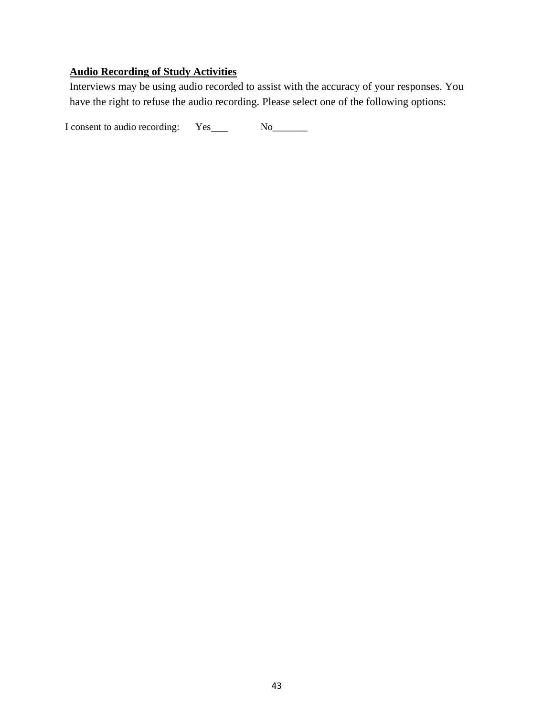# **Audio Recording of Study Activities**

Interviews may be using audio recorded to assist with the accuracy of your responses. You have the right to refuse the audio recording. Please select one of the following options:

I consent to audio recording: Yes No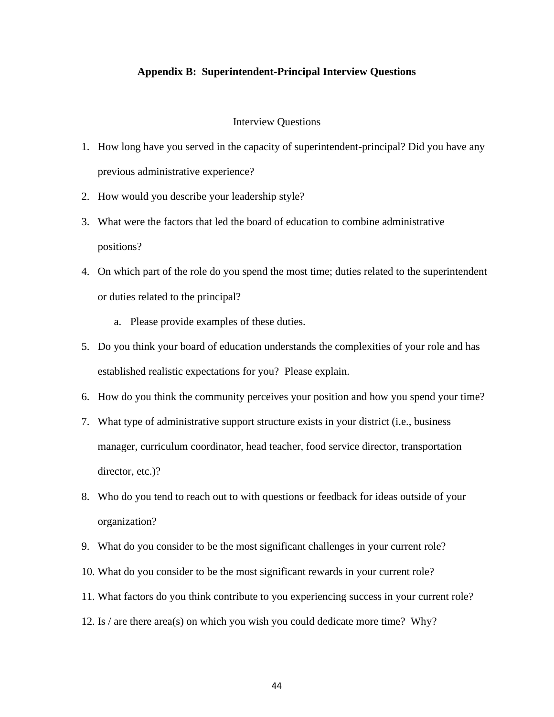### **Appendix B: Superintendent-Principal Interview Questions**

#### Interview Questions

- 1. How long have you served in the capacity of superintendent-principal? Did you have any previous administrative experience?
- 2. How would you describe your leadership style?
- 3. What were the factors that led the board of education to combine administrative positions?
- 4. On which part of the role do you spend the most time; duties related to the superintendent or duties related to the principal?
	- a. Please provide examples of these duties.
- 5. Do you think your board of education understands the complexities of your role and has established realistic expectations for you? Please explain.
- 6. How do you think the community perceives your position and how you spend your time?
- 7. What type of administrative support structure exists in your district (i.e., business manager, curriculum coordinator, head teacher, food service director, transportation director, etc.)?
- 8. Who do you tend to reach out to with questions or feedback for ideas outside of your organization?
- 9. What do you consider to be the most significant challenges in your current role?
- 10. What do you consider to be the most significant rewards in your current role?
- 11. What factors do you think contribute to you experiencing success in your current role?
- 12. Is / are there area(s) on which you wish you could dedicate more time? Why?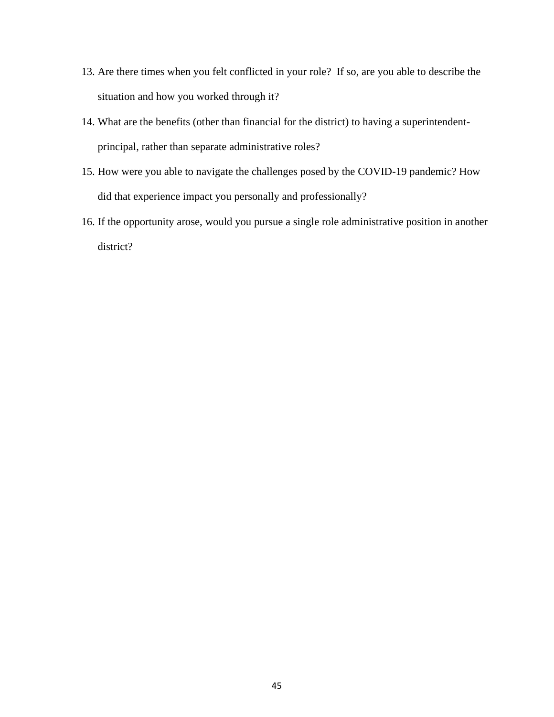- 13. Are there times when you felt conflicted in your role? If so, are you able to describe the situation and how you worked through it?
- 14. What are the benefits (other than financial for the district) to having a superintendentprincipal, rather than separate administrative roles?
- 15. How were you able to navigate the challenges posed by the COVID-19 pandemic? How did that experience impact you personally and professionally?
- 16. If the opportunity arose, would you pursue a single role administrative position in another district?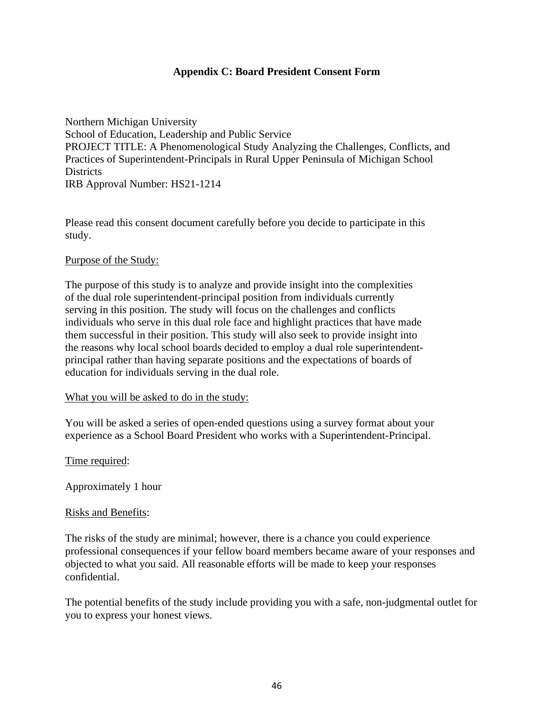# **Appendix C: Board President Consent Form**

Northern Michigan University School of Education, Leadership and Public Service PROJECT TITLE: A Phenomenological Study Analyzing the Challenges, Conflicts, and Practices of Superintendent-Principals in Rural Upper Peninsula of Michigan School Districts IRB Approval Number: HS21-1214

Please read this consent document carefully before you decide to participate in this study.

### Purpose of the Study:

The purpose of this study is to analyze and provide insight into the complexities of the dual role superintendent-principal position from individuals currently serving in this position. The study will focus on the challenges and conflicts individuals who serve in this dual role face and highlight practices that have made them successful in their position. This study will also seek to provide insight into the reasons why local school boards decided to employ a dual role superintendentprincipal rather than having separate positions and the expectations of boards of education for individuals serving in the dual role.

#### What you will be asked to do in the study:

You will be asked a series of open-ended questions using a survey format about your experience as a School Board President who works with a Superintendent-Principal.

Time required:

Approximately 1 hour

# Risks and Benefits:

The risks of the study are minimal; however, there is a chance you could experience professional consequences if your fellow board members became aware of your responses and objected to what you said. All reasonable efforts will be made to keep your responses confidential.

The potential benefits of the study include providing you with a safe, non-judgmental outlet for you to express your honest views.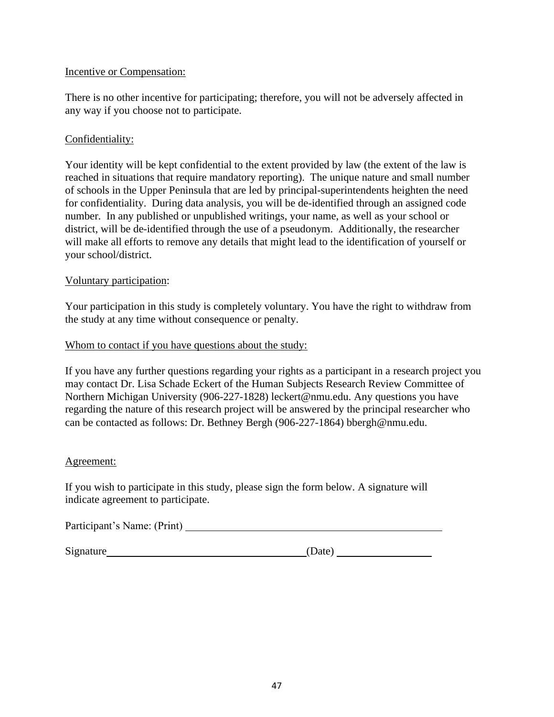# Incentive or Compensation:

There is no other incentive for participating; therefore, you will not be adversely affected in any way if you choose not to participate.

# Confidentiality:

Your identity will be kept confidential to the extent provided by law (the extent of the law is reached in situations that require mandatory reporting). The unique nature and small number of schools in the Upper Peninsula that are led by principal-superintendents heighten the need for confidentiality. During data analysis, you will be de-identified through an assigned code number. In any published or unpublished writings, your name, as well as your school or district, will be de-identified through the use of a pseudonym. Additionally, the researcher will make all efforts to remove any details that might lead to the identification of yourself or your school/district.

# Voluntary participation:

Your participation in this study is completely voluntary. You have the right to withdraw from the study at any time without consequence or penalty.

# Whom to contact if you have questions about the study:

If you have any further questions regarding your rights as a participant in a research project you may contact Dr. Lisa Schade Eckert of the Human Subjects Research Review Committee of Northern Michigan University (906-227-1828) leckert@nmu.edu. Any questions you have regarding the nature of this research project will be answered by the principal researcher who can be contacted as follows: Dr. Bethney Bergh (906-227-1864) bbergh@nmu.edu.

# Agreement:

If you wish to participate in this study, please sign the form below. A signature will indicate agreement to participate.

| Participant's Name: (Print) |  |
|-----------------------------|--|
|                             |  |

Signature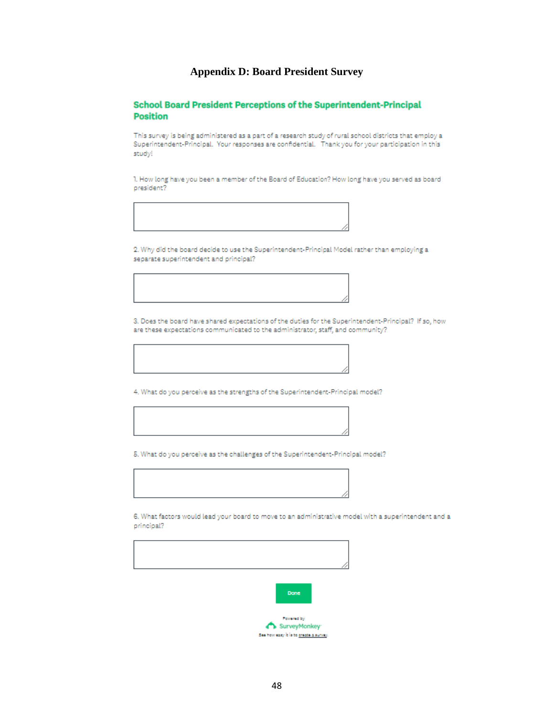### **Appendix D: Board President Survey**

#### **School Board President Perceptions of the Superintendent-Principal Position**

This survey is being administered as a part of a research study of rural school districts that employ a Superintendent-Principal. Your responses are confidential. Thank you for your participation in this study!

1. How long have you been a member of the Board of Education? How long have you served as board president?



2. Why did the board decide to use the Superintendent-Principal Model rather than employing a separate superintendent and principal?

3. Does the board have shared expectations of the duties for the Superintendent-Principal? If so, how are these expectations communicated to the administrator, staff, and community?

4. What do you perceive as the strengths of the Superintendent-Principal model?

5. What do you perceive as the challenges of the Superintendent-Principal model?

6. What factors would lead your board to move to an administrative model with a superintendent and a principal?



Powered by SurveyMonkey See how easy it is to greate a survey.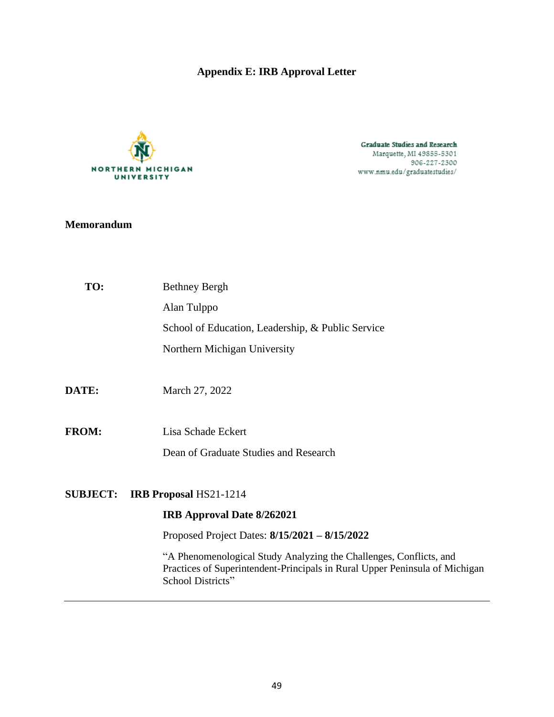# **Appendix E: IRB Approval Letter**



Graduate Studies and Research Marquette, MI 49855-5301<br>906-227-2300 www.nmu.edu/graduatestudies/

# **Memorandum**

| TO:             | <b>Bethney Bergh</b>                                                                                                                                                   |
|-----------------|------------------------------------------------------------------------------------------------------------------------------------------------------------------------|
|                 | Alan Tulppo                                                                                                                                                            |
|                 | School of Education, Leadership, & Public Service                                                                                                                      |
|                 | Northern Michigan University                                                                                                                                           |
| DATE:           | March 27, 2022                                                                                                                                                         |
| <b>FROM:</b>    | Lisa Schade Eckert                                                                                                                                                     |
|                 | Dean of Graduate Studies and Research                                                                                                                                  |
| <b>SUBJECT:</b> | <b>IRB Proposal HS21-1214</b>                                                                                                                                          |
|                 | <b>IRB Approval Date 8/262021</b>                                                                                                                                      |
|                 | Proposed Project Dates: 8/15/2021 - 8/15/2022                                                                                                                          |
|                 | "A Phenomenological Study Analyzing the Challenges, Conflicts, and<br>Practices of Superintendent-Principals in Rural Upper Peninsula of Michigan<br>School Districts" |
|                 |                                                                                                                                                                        |